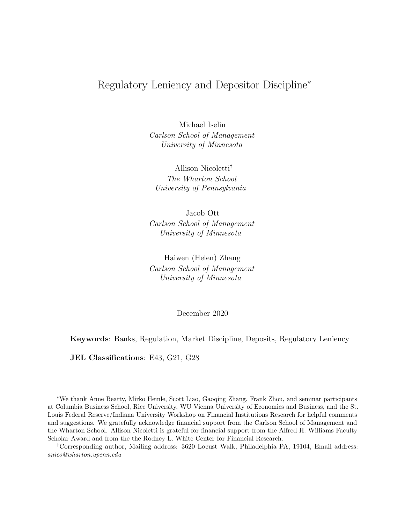# Regulatory Leniency and Depositor Discipline<sup>∗</sup>

Michael Iselin Carlson School of Management University of Minnesota

Allison Nicoletti† The Wharton School University of Pennsylvania

Jacob Ott Carlson School of Management University of Minnesota

Haiwen (Helen) Zhang Carlson School of Management University of Minnesota

December 2020

Keywords: Banks, Regulation, Market Discipline, Deposits, Regulatory Leniency

JEL Classifications: E43, G21, G28

<sup>∗</sup>We thank Anne Beatty, Mirko Heinle, Scott Liao, Gaoqing Zhang, Frank Zhou, and seminar participants at Columbia Business School, Rice University, WU Vienna University of Economics and Business, and the St. Louis Federal Reserve/Indiana University Workshop on Financial Institutions Research for helpful comments and suggestions. We gratefully acknowledge financial support from the Carlson School of Management and the Wharton School. Allison Nicoletti is grateful for financial support from the Alfred H. Williams Faculty Scholar Award and from the the Rodney L. White Center for Financial Research.

<sup>†</sup>Corresponding author, Mailing address: 3620 Locust Walk, Philadelphia PA, 19104, Email address: anico@wharton.upenn.edu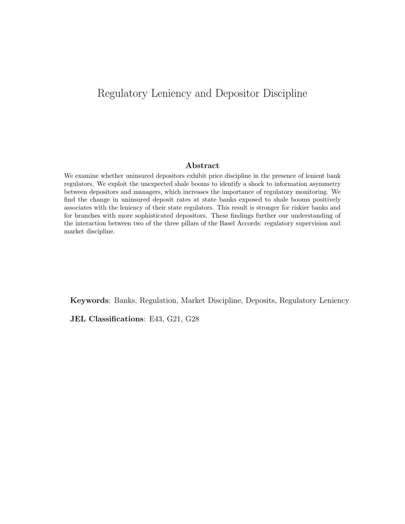# Regulatory Leniency and Depositor Discipline

#### Abstract

We examine whether uninsured depositors exhibit price discipline in the presence of lenient bank regulators. We exploit the unexpected shale booms to identify a shock to information asymmetry between depositors and managers, which increases the importance of regulatory monitoring. We find the change in uninsured deposit rates at state banks exposed to shale booms positively associates with the leniency of their state regulators. This result is stronger for riskier banks and for branches with more sophisticated depositors. These findings further our understanding of the interaction between two of the three pillars of the Basel Accords: regulatory supervision and market discipline.

Keywords: Banks, Regulation, Market Discipline, Deposits, Regulatory Leniency

JEL Classifications: E43, G21, G28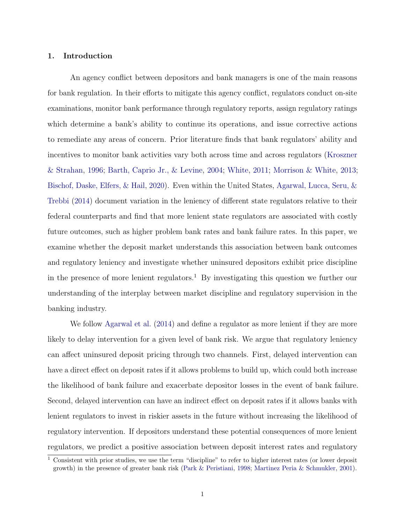## 1. Introduction

An agency conflict between depositors and bank managers is one of the main reasons for bank regulation. In their efforts to mitigate this agency conflict, regulators conduct on-site examinations, monitor bank performance through regulatory reports, assign regulatory ratings which determine a bank's ability to continue its operations, and issue corrective actions to remediate any areas of concern. Prior literature finds that bank regulators' ability and incentives to monitor bank activities vary both across time and across regulators [\(Kroszner](#page-31-0) [& Strahan,](#page-31-0) [1996;](#page-31-0) [Barth, Caprio Jr., & Levine,](#page-30-0) [2004;](#page-30-0) [White,](#page-31-1) [2011;](#page-31-1) [Morrison & White,](#page-31-2) [2013;](#page-31-2) [Bischof, Daske, Elfers, & Hail,](#page-30-1) [2020\)](#page-30-1). Even within the United States, [Agarwal, Lucca, Seru, &](#page-30-2) [Trebbi](#page-30-2) [\(2014\)](#page-30-2) document variation in the leniency of different state regulators relative to their federal counterparts and find that more lenient state regulators are associated with costly future outcomes, such as higher problem bank rates and bank failure rates. In this paper, we examine whether the deposit market understands this association between bank outcomes and regulatory leniency and investigate whether uninsured depositors exhibit price discipline in the presence of more lenient regulators.<sup>1</sup> By investigating this question we further our understanding of the interplay between market discipline and regulatory supervision in the banking industry.

We follow [Agarwal et al.](#page-30-2) [\(2014\)](#page-30-2) and define a regulator as more lenient if they are more likely to delay intervention for a given level of bank risk. We argue that regulatory leniency can affect uninsured deposit pricing through two channels. First, delayed intervention can have a direct effect on deposit rates if it allows problems to build up, which could both increase the likelihood of bank failure and exacerbate depositor losses in the event of bank failure. Second, delayed intervention can have an indirect effect on deposit rates if it allows banks with lenient regulators to invest in riskier assets in the future without increasing the likelihood of regulatory intervention. If depositors understand these potential consequences of more lenient regulators, we predict a positive association between deposit interest rates and regulatory

<sup>1</sup> Consistent with prior studies, we use the term "discipline" to refer to higher interest rates (or lower deposit growth) in the presence of greater bank risk [\(Park & Peristiani,](#page-31-3) [1998;](#page-31-3) [Martinez Peria & Schmukler,](#page-31-4) [2001\)](#page-31-4).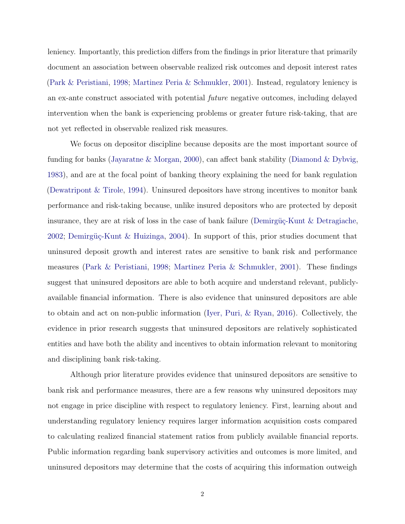leniency. Importantly, this prediction differs from the findings in prior literature that primarily document an association between observable realized risk outcomes and deposit interest rates [\(Park & Peristiani,](#page-31-3) [1998;](#page-31-3) [Martinez Peria & Schmukler,](#page-31-4) [2001\)](#page-31-4). Instead, regulatory leniency is an ex-ante construct associated with potential future negative outcomes, including delayed intervention when the bank is experiencing problems or greater future risk-taking, that are not yet reflected in observable realized risk measures.

We focus on depositor discipline because deposits are the most important source of funding for banks [\(Jayaratne & Morgan,](#page-31-5) [2000\)](#page-31-5), can affect bank stability [\(Diamond & Dybvig,](#page-30-3) [1983\)](#page-30-3), and are at the focal point of banking theory explaining the need for bank regulation [\(Dewatripont & Tirole,](#page-30-4) [1994\)](#page-30-4). Uninsured depositors have strong incentives to monitor bank performance and risk-taking because, unlike insured depositors who are protected by deposit insurance, they are at risk of loss in the case of bank failure (Demirgüç-Kunt  $\&$  Detragiache, [2002;](#page-30-5) Demirgüç-Kunt & Huizinga, [2004\)](#page-30-6). In support of this, prior studies document that uninsured deposit growth and interest rates are sensitive to bank risk and performance measures [\(Park & Peristiani,](#page-31-3) [1998;](#page-31-3) [Martinez Peria & Schmukler,](#page-31-4) [2001\)](#page-31-4). These findings suggest that uninsured depositors are able to both acquire and understand relevant, publiclyavailable financial information. There is also evidence that uninsured depositors are able to obtain and act on non-public information [\(Iyer, Puri, & Ryan,](#page-31-6) [2016\)](#page-31-6). Collectively, the evidence in prior research suggests that uninsured depositors are relatively sophisticated entities and have both the ability and incentives to obtain information relevant to monitoring and disciplining bank risk-taking.

Although prior literature provides evidence that uninsured depositors are sensitive to bank risk and performance measures, there are a few reasons why uninsured depositors may not engage in price discipline with respect to regulatory leniency. First, learning about and understanding regulatory leniency requires larger information acquisition costs compared to calculating realized financial statement ratios from publicly available financial reports. Public information regarding bank supervisory activities and outcomes is more limited, and uninsured depositors may determine that the costs of acquiring this information outweigh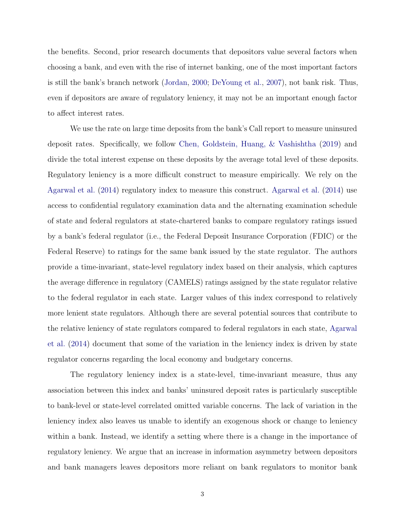the benefits. Second, prior research documents that depositors value several factors when choosing a bank, and even with the rise of internet banking, one of the most important factors is still the bank's branch network [\(Jordan,](#page-31-7) [2000;](#page-31-7) [DeYoung et al.,](#page-30-7) [2007\)](#page-30-7), not bank risk. Thus, even if depositors are aware of regulatory leniency, it may not be an important enough factor to affect interest rates.

We use the rate on large time deposits from the bank's Call report to measure uninsured deposit rates. Specifically, we follow [Chen, Goldstein, Huang, & Vashishtha](#page-30-8) [\(2019\)](#page-30-8) and divide the total interest expense on these deposits by the average total level of these deposits. Regulatory leniency is a more difficult construct to measure empirically. We rely on the [Agarwal et al.](#page-30-2) [\(2014\)](#page-30-2) regulatory index to measure this construct. [Agarwal et al.](#page-30-2) [\(2014\)](#page-30-2) use access to confidential regulatory examination data and the alternating examination schedule of state and federal regulators at state-chartered banks to compare regulatory ratings issued by a bank's federal regulator (i.e., the Federal Deposit Insurance Corporation (FDIC) or the Federal Reserve) to ratings for the same bank issued by the state regulator. The authors provide a time-invariant, state-level regulatory index based on their analysis, which captures the average difference in regulatory (CAMELS) ratings assigned by the state regulator relative to the federal regulator in each state. Larger values of this index correspond to relatively more lenient state regulators. Although there are several potential sources that contribute to the relative leniency of state regulators compared to federal regulators in each state, [Agarwal](#page-30-2) [et al.](#page-30-2) [\(2014\)](#page-30-2) document that some of the variation in the leniency index is driven by state regulator concerns regarding the local economy and budgetary concerns.

The regulatory leniency index is a state-level, time-invariant measure, thus any association between this index and banks' uninsured deposit rates is particularly susceptible to bank-level or state-level correlated omitted variable concerns. The lack of variation in the leniency index also leaves us unable to identify an exogenous shock or change to leniency within a bank. Instead, we identify a setting where there is a change in the importance of regulatory leniency. We argue that an increase in information asymmetry between depositors and bank managers leaves depositors more reliant on bank regulators to monitor bank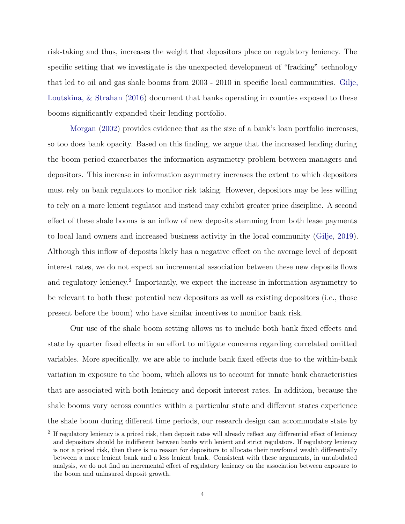risk-taking and thus, increases the weight that depositors place on regulatory leniency. The specific setting that we investigate is the unexpected development of "fracking" technology that led to oil and gas shale booms from 2003 - 2010 in specific local communities. [Gilje,](#page-30-9) [Loutskina, & Strahan](#page-30-9) [\(2016\)](#page-30-9) document that banks operating in counties exposed to these booms significantly expanded their lending portfolio.

[Morgan](#page-31-8) [\(2002\)](#page-31-8) provides evidence that as the size of a bank's loan portfolio increases, so too does bank opacity. Based on this finding, we argue that the increased lending during the boom period exacerbates the information asymmetry problem between managers and depositors. This increase in information asymmetry increases the extent to which depositors must rely on bank regulators to monitor risk taking. However, depositors may be less willing to rely on a more lenient regulator and instead may exhibit greater price discipline. A second effect of these shale booms is an inflow of new deposits stemming from both lease payments to local land owners and increased business activity in the local community [\(Gilje,](#page-30-10) [2019\)](#page-30-10). Although this inflow of deposits likely has a negative effect on the average level of deposit interest rates, we do not expect an incremental association between these new deposits flows and regulatory leniency.<sup>2</sup> Importantly, we expect the increase in information asymmetry to be relevant to both these potential new depositors as well as existing depositors (i.e., those present before the boom) who have similar incentives to monitor bank risk.

Our use of the shale boom setting allows us to include both bank fixed effects and state by quarter fixed effects in an effort to mitigate concerns regarding correlated omitted variables. More specifically, we are able to include bank fixed effects due to the within-bank variation in exposure to the boom, which allows us to account for innate bank characteristics that are associated with both leniency and deposit interest rates. In addition, because the shale booms vary across counties within a particular state and different states experience the shale boom during different time periods, our research design can accommodate state by

<sup>&</sup>lt;sup>2</sup> If regulatory leniency is a priced risk, then deposit rates will already reflect any differential effect of leniency and depositors should be indifferent between banks with lenient and strict regulators. If regulatory leniency is not a priced risk, then there is no reason for depositors to allocate their newfound wealth differentially between a more lenient bank and a less lenient bank. Consistent with these arguments, in untabulated analysis, we do not find an incremental effect of regulatory leniency on the association between exposure to the boom and uninsured deposit growth.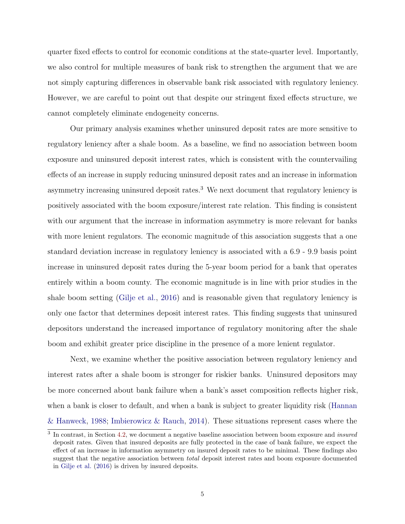quarter fixed effects to control for economic conditions at the state-quarter level. Importantly, we also control for multiple measures of bank risk to strengthen the argument that we are not simply capturing differences in observable bank risk associated with regulatory leniency. However, we are careful to point out that despite our stringent fixed effects structure, we cannot completely eliminate endogeneity concerns.

Our primary analysis examines whether uninsured deposit rates are more sensitive to regulatory leniency after a shale boom. As a baseline, we find no association between boom exposure and uninsured deposit interest rates, which is consistent with the countervailing effects of an increase in supply reducing uninsured deposit rates and an increase in information asymmetry increasing uninsured deposit rates.<sup>3</sup> We next document that regulatory leniency is positively associated with the boom exposure/interest rate relation. This finding is consistent with our argument that the increase in information asymmetry is more relevant for banks with more lenient regulators. The economic magnitude of this association suggests that a one standard deviation increase in regulatory leniency is associated with a 6.9 - 9.9 basis point increase in uninsured deposit rates during the 5-year boom period for a bank that operates entirely within a boom county. The economic magnitude is in line with prior studies in the shale boom setting [\(Gilje et al.,](#page-30-9) [2016\)](#page-30-9) and is reasonable given that regulatory leniency is only one factor that determines deposit interest rates. This finding suggests that uninsured depositors understand the increased importance of regulatory monitoring after the shale boom and exhibit greater price discipline in the presence of a more lenient regulator.

Next, we examine whether the positive association between regulatory leniency and interest rates after a shale boom is stronger for riskier banks. Uninsured depositors may be more concerned about bank failure when a bank's asset composition reflects higher risk, when a bank is closer to default, and when a bank is subject to greater liquidity risk [\(Hannan](#page-31-9) [& Hanweck,](#page-31-9) [1988;](#page-31-9) [Imbierowicz & Rauch,](#page-31-10) [2014\)](#page-31-10). These situations represent cases where the

 $3\,$  In contrast, in Section [4.2,](#page-22-0) we document a negative baseline association between boom exposure and *insured* deposit rates. Given that insured deposits are fully protected in the case of bank failure, we expect the effect of an increase in information asymmetry on insured deposit rates to be minimal. These findings also suggest that the negative association between total deposit interest rates and boom exposure documented in [Gilje et al.](#page-30-9) [\(2016\)](#page-30-9) is driven by insured deposits.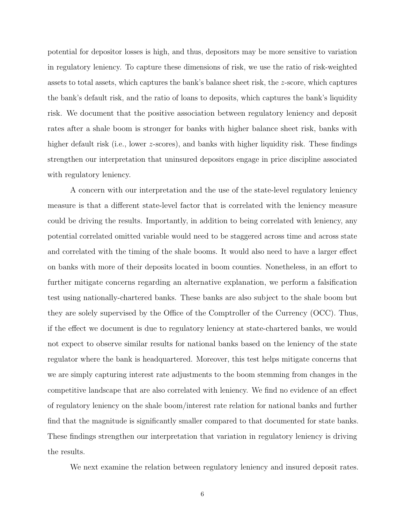potential for depositor losses is high, and thus, depositors may be more sensitive to variation in regulatory leniency. To capture these dimensions of risk, we use the ratio of risk-weighted assets to total assets, which captures the bank's balance sheet risk, the z-score, which captures the bank's default risk, and the ratio of loans to deposits, which captures the bank's liquidity risk. We document that the positive association between regulatory leniency and deposit rates after a shale boom is stronger for banks with higher balance sheet risk, banks with higher default risk (i.e., lower z-scores), and banks with higher liquidity risk. These findings strengthen our interpretation that uninsured depositors engage in price discipline associated with regulatory leniency.

A concern with our interpretation and the use of the state-level regulatory leniency measure is that a different state-level factor that is correlated with the leniency measure could be driving the results. Importantly, in addition to being correlated with leniency, any potential correlated omitted variable would need to be staggered across time and across state and correlated with the timing of the shale booms. It would also need to have a larger effect on banks with more of their deposits located in boom counties. Nonetheless, in an effort to further mitigate concerns regarding an alternative explanation, we perform a falsification test using nationally-chartered banks. These banks are also subject to the shale boom but they are solely supervised by the Office of the Comptroller of the Currency (OCC). Thus, if the effect we document is due to regulatory leniency at state-chartered banks, we would not expect to observe similar results for national banks based on the leniency of the state regulator where the bank is headquartered. Moreover, this test helps mitigate concerns that we are simply capturing interest rate adjustments to the boom stemming from changes in the competitive landscape that are also correlated with leniency. We find no evidence of an effect of regulatory leniency on the shale boom/interest rate relation for national banks and further find that the magnitude is significantly smaller compared to that documented for state banks. These findings strengthen our interpretation that variation in regulatory leniency is driving the results.

We next examine the relation between regulatory leniency and insured deposit rates.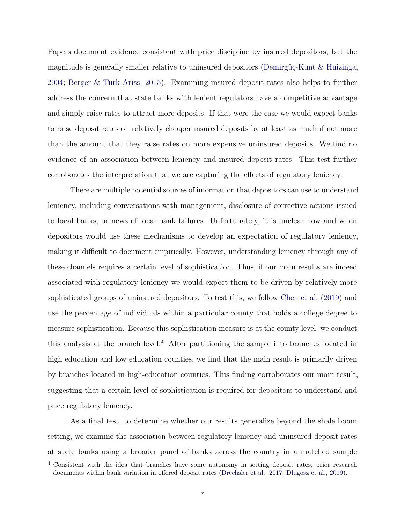Papers document evidence consistent with price discipline by insured depositors, but the magnitude is generally smaller relative to uninsured depositors (Demirgüç-Kunt & Huizinga, [2004;](#page-30-6) [Berger & Turk-Ariss,](#page-30-11) [2015\)](#page-30-11). Examining insured deposit rates also helps to further address the concern that state banks with lenient regulators have a competitive advantage and simply raise rates to attract more deposits. If that were the case we would expect banks to raise deposit rates on relatively cheaper insured deposits by at least as much if not more than the amount that they raise rates on more expensive uninsured deposits. We find no evidence of an association between leniency and insured deposit rates. This test further corroborates the interpretation that we are capturing the effects of regulatory leniency.

There are multiple potential sources of information that depositors can use to understand leniency, including conversations with management, disclosure of corrective actions issued to local banks, or news of local bank failures. Unfortunately, it is unclear how and when depositors would use these mechanisms to develop an expectation of regulatory leniency, making it difficult to document empirically. However, understanding leniency through any of these channels requires a certain level of sophistication. Thus, if our main results are indeed associated with regulatory leniency we would expect them to be driven by relatively more sophisticated groups of uninsured depositors. To test this, we follow [Chen et al.](#page-30-8) [\(2019\)](#page-30-8) and use the percentage of individuals within a particular county that holds a college degree to measure sophistication. Because this sophistication measure is at the county level, we conduct this analysis at the branch level.<sup>4</sup> After partitioning the sample into branches located in high education and low education counties, we find that the main result is primarily driven by branches located in high-education counties. This finding corroborates our main result, suggesting that a certain level of sophistication is required for depositors to understand and price regulatory leniency.

As a final test, to determine whether our results generalize beyond the shale boom setting, we examine the association between regulatory leniency and uninsured deposit rates at state banks using a broader panel of banks across the country in a matched sample

 $\frac{4}{4}$  Consistent with the idea that branches have some autonomy in setting deposit rates, prior research documents within bank variation in offered deposit rates [\(Drechsler et al.,](#page-30-12) [2017;](#page-30-12) [Dlugosz et al.,](#page-30-13) [2019\)](#page-30-13).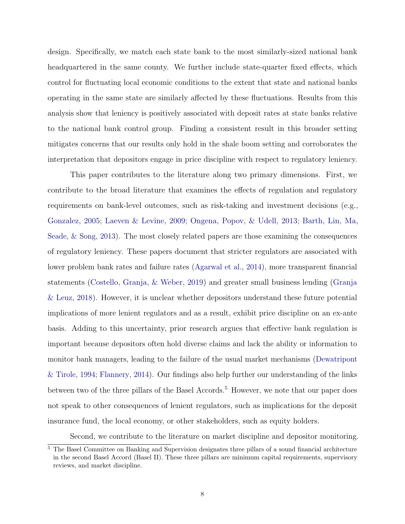design. Specifically, we match each state bank to the most similarly-sized national bank headquartered in the same county. We further include state-quarter fixed effects, which control for fluctuating local economic conditions to the extent that state and national banks operating in the same state are similarly affected by these fluctuations. Results from this analysis show that leniency is positively associated with deposit rates at state banks relative to the national bank control group. Finding a consistent result in this broader setting mitigates concerns that our results only hold in the shale boom setting and corroborates the interpretation that depositors engage in price discipline with respect to regulatory leniency.

This paper contributes to the literature along two primary dimensions. First, we contribute to the broad literature that examines the effects of regulation and regulatory requirements on bank-level outcomes, such as risk-taking and investment decisions (e.g., [Gonzalez,](#page-31-11) [2005;](#page-31-11) [Laeven & Levine,](#page-31-12) [2009;](#page-31-12) [Ongena, Popov, & Udell,](#page-31-13) [2013;](#page-31-13) [Barth, Lin, Ma,](#page-30-14) [Seade, & Song,](#page-30-14) [2013\)](#page-30-14). The most closely related papers are those examining the consequences of regulatory leniency. These papers document that stricter regulators are associated with lower problem bank rates and failure rates [\(Agarwal et al.,](#page-30-2) [2014\)](#page-30-2), more transparent financial statements [\(Costello, Granja, & Weber,](#page-30-15) [2019\)](#page-30-15) and greater small business lending [\(Granja](#page-31-14) [& Leuz,](#page-31-14) [2018\)](#page-31-14). However, it is unclear whether depositors understand these future potential implications of more lenient regulators and as a result, exhibit price discipline on an ex-ante basis. Adding to this uncertainty, prior research argues that effective bank regulation is important because depositors often hold diverse claims and lack the ability or information to monitor bank managers, leading to the failure of the usual market mechanisms [\(Dewatripont](#page-30-4) [& Tirole,](#page-30-4) [1994;](#page-30-4) [Flannery,](#page-30-16) [2014\)](#page-30-16). Our findings also help further our understanding of the links between two of the three pillars of the Basel Accords.<sup>5</sup> However, we note that our paper does not speak to other consequences of lenient regulators, such as implications for the deposit insurance fund, the local economy, or other stakeholders, such as equity holders.

Second, we contribute to the literature on market discipline and depositor monitoring.

<sup>5</sup> The Basel Committee on Banking and Supervision designates three pillars of a sound financial architecture in the second Basel Accord (Basel II). These three pillars are minimum capital requirements, supervisory reviews, and market discipline.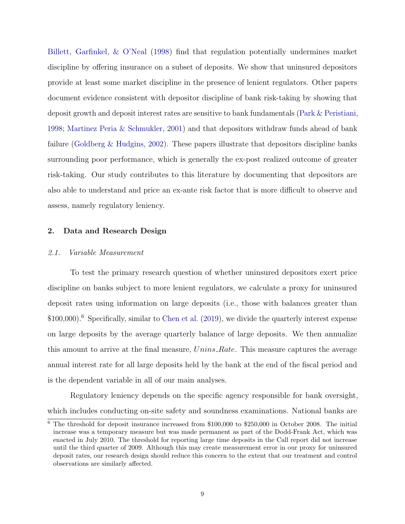[Billett, Garfinkel, & O'Neal](#page-30-17) [\(1998\)](#page-30-17) find that regulation potentially undermines market discipline by offering insurance on a subset of deposits. We show that uninsured depositors provide at least some market discipline in the presence of lenient regulators. Other papers document evidence consistent with depositor discipline of bank risk-taking by showing that deposit growth and deposit interest rates are sensitive to bank fundamentals [\(Park & Peristiani,](#page-31-3) [1998;](#page-31-3) [Martinez Peria & Schmukler,](#page-31-4) [2001\)](#page-31-4) and that depositors withdraw funds ahead of bank failure [\(Goldberg & Hudgins,](#page-31-15) [2002\)](#page-31-15). These papers illustrate that depositors discipline banks surrounding poor performance, which is generally the ex-post realized outcome of greater risk-taking. Our study contributes to this literature by documenting that depositors are also able to understand and price an ex-ante risk factor that is more difficult to observe and assess, namely regulatory leniency.

# 2. Data and Research Design

#### 2.1. Variable Measurement

To test the primary research question of whether uninsured depositors exert price discipline on banks subject to more lenient regulators, we calculate a proxy for uninsured deposit rates using information on large deposits (i.e., those with balances greater than \$100,000).<sup>6</sup> Specifically, similar to [Chen et al.](#page-30-8) [\(2019\)](#page-30-8), we divide the quarterly interest expense on large deposits by the average quarterly balance of large deposits. We then annualize this amount to arrive at the final measure, Unins Rate. This measure captures the average annual interest rate for all large deposits held by the bank at the end of the fiscal period and is the dependent variable in all of our main analyses.

Regulatory leniency depends on the specific agency responsible for bank oversight, which includes conducting on-site safety and soundness examinations. National banks are

<sup>6</sup> The threshold for deposit insurance increased from \$100,000 to \$250,000 in October 2008. The initial increase was a temporary measure but was made permanent as part of the Dodd-Frank Act, which was enacted in July 2010. The threshold for reporting large time deposits in the Call report did not increase until the third quarter of 2009. Although this may create measurement error in our proxy for uninsured deposit rates, our research design should reduce this concern to the extent that our treatment and control observations are similarly affected.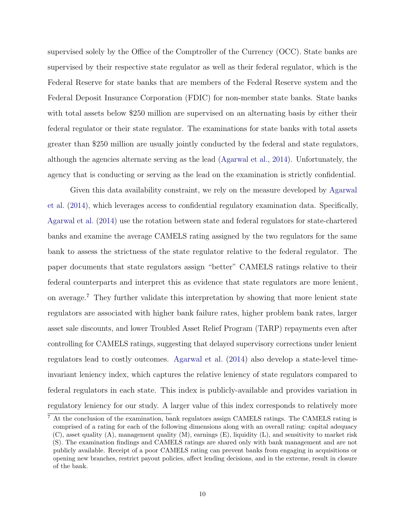supervised solely by the Office of the Comptroller of the Currency (OCC). State banks are supervised by their respective state regulator as well as their federal regulator, which is the Federal Reserve for state banks that are members of the Federal Reserve system and the Federal Deposit Insurance Corporation (FDIC) for non-member state banks. State banks with total assets below \$250 million are supervised on an alternating basis by either their federal regulator or their state regulator. The examinations for state banks with total assets greater than \$250 million are usually jointly conducted by the federal and state regulators, although the agencies alternate serving as the lead [\(Agarwal et al.,](#page-30-2) [2014\)](#page-30-2). Unfortunately, the agency that is conducting or serving as the lead on the examination is strictly confidential.

Given this data availability constraint, we rely on the measure developed by [Agarwal](#page-30-2) [et al.](#page-30-2) [\(2014\)](#page-30-2), which leverages access to confidential regulatory examination data. Specifically, [Agarwal et al.](#page-30-2) [\(2014\)](#page-30-2) use the rotation between state and federal regulators for state-chartered banks and examine the average CAMELS rating assigned by the two regulators for the same bank to assess the strictness of the state regulator relative to the federal regulator. The paper documents that state regulators assign "better" CAMELS ratings relative to their federal counterparts and interpret this as evidence that state regulators are more lenient, on average.<sup>7</sup> They further validate this interpretation by showing that more lenient state regulators are associated with higher bank failure rates, higher problem bank rates, larger asset sale discounts, and lower Troubled Asset Relief Program (TARP) repayments even after controlling for CAMELS ratings, suggesting that delayed supervisory corrections under lenient regulators lead to costly outcomes. [Agarwal et al.](#page-30-2) [\(2014\)](#page-30-2) also develop a state-level timeinvariant leniency index, which captures the relative leniency of state regulators compared to federal regulators in each state. This index is publicly-available and provides variation in regulatory leniency for our study. A larger value of this index corresponds to relatively more

<sup>7</sup> At the conclusion of the examination, bank regulators assign CAMELS ratings. The CAMELS rating is comprised of a rating for each of the following dimensions along with an overall rating: capital adequacy  $(C)$ , asset quality  $(A)$ , management quality  $(M)$ , earnings  $(E)$ , liquidity  $(L)$ , and sensitivity to market risk (S). The examination findings and CAMELS ratings are shared only with bank management and are not publicly available. Receipt of a poor CAMELS rating can prevent banks from engaging in acquisitions or opening new branches, restrict payout policies, affect lending decisions, and in the extreme, result in closure of the bank.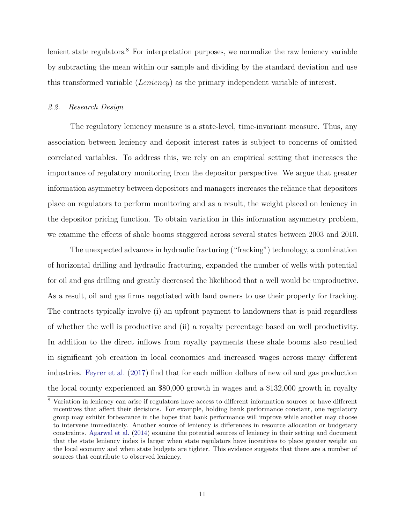lenient state regulators.<sup>8</sup> For interpretation purposes, we normalize the raw leniency variable by subtracting the mean within our sample and dividing by the standard deviation and use this transformed variable (Leniency) as the primary independent variable of interest.

# 2.2. Research Design

The regulatory leniency measure is a state-level, time-invariant measure. Thus, any association between leniency and deposit interest rates is subject to concerns of omitted correlated variables. To address this, we rely on an empirical setting that increases the importance of regulatory monitoring from the depositor perspective. We argue that greater information asymmetry between depositors and managers increases the reliance that depositors place on regulators to perform monitoring and as a result, the weight placed on leniency in the depositor pricing function. To obtain variation in this information asymmetry problem, we examine the effects of shale booms staggered across several states between 2003 and 2010.

The unexpected advances in hydraulic fracturing ("fracking") technology, a combination of horizontal drilling and hydraulic fracturing, expanded the number of wells with potential for oil and gas drilling and greatly decreased the likelihood that a well would be unproductive. As a result, oil and gas firms negotiated with land owners to use their property for fracking. The contracts typically involve (i) an upfront payment to landowners that is paid regardless of whether the well is productive and (ii) a royalty percentage based on well productivity. In addition to the direct inflows from royalty payments these shale booms also resulted in significant job creation in local economies and increased wages across many different industries. [Feyrer et al.](#page-30-18) [\(2017\)](#page-30-18) find that for each million dollars of new oil and gas production the local county experienced an \$80,000 growth in wages and a \$132,000 growth in royalty

<sup>8</sup> Variation in leniency can arise if regulators have access to different information sources or have different incentives that affect their decisions. For example, holding bank performance constant, one regulatory group may exhibit forbearance in the hopes that bank performance will improve while another may choose to intervene immediately. Another source of leniency is differences in resource allocation or budgetary constraints. [Agarwal et al.](#page-30-2) [\(2014\)](#page-30-2) examine the potential sources of leniency in their setting and document that the state leniency index is larger when state regulators have incentives to place greater weight on the local economy and when state budgets are tighter. This evidence suggests that there are a number of sources that contribute to observed leniency.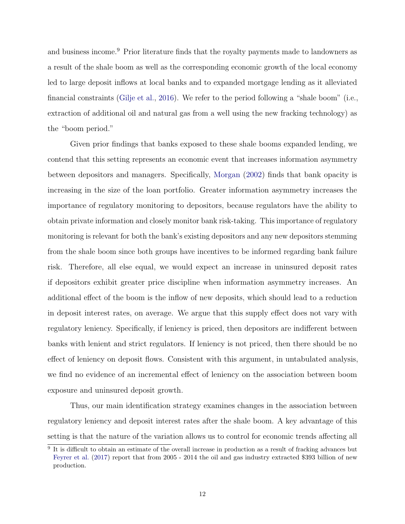and business income.<sup>9</sup> Prior literature finds that the royalty payments made to landowners as a result of the shale boom as well as the corresponding economic growth of the local economy led to large deposit inflows at local banks and to expanded mortgage lending as it alleviated financial constraints [\(Gilje et al.,](#page-30-9) [2016\)](#page-30-9). We refer to the period following a "shale boom" (i.e., extraction of additional oil and natural gas from a well using the new fracking technology) as the "boom period."

Given prior findings that banks exposed to these shale booms expanded lending, we contend that this setting represents an economic event that increases information asymmetry between depositors and managers. Specifically, [Morgan](#page-31-8) [\(2002\)](#page-31-8) finds that bank opacity is increasing in the size of the loan portfolio. Greater information asymmetry increases the importance of regulatory monitoring to depositors, because regulators have the ability to obtain private information and closely monitor bank risk-taking. This importance of regulatory monitoring is relevant for both the bank's existing depositors and any new depositors stemming from the shale boom since both groups have incentives to be informed regarding bank failure risk. Therefore, all else equal, we would expect an increase in uninsured deposit rates if depositors exhibit greater price discipline when information asymmetry increases. An additional effect of the boom is the inflow of new deposits, which should lead to a reduction in deposit interest rates, on average. We argue that this supply effect does not vary with regulatory leniency. Specifically, if leniency is priced, then depositors are indifferent between banks with lenient and strict regulators. If leniency is not priced, then there should be no effect of leniency on deposit flows. Consistent with this argument, in untabulated analysis, we find no evidence of an incremental effect of leniency on the association between boom exposure and uninsured deposit growth.

Thus, our main identification strategy examines changes in the association between regulatory leniency and deposit interest rates after the shale boom. A key advantage of this setting is that the nature of the variation allows us to control for economic trends affecting all

<sup>&</sup>lt;sup>9</sup> It is difficult to obtain an estimate of the overall increase in production as a result of fracking advances but [Feyrer et al.](#page-30-18) [\(2017\)](#page-30-18) report that from 2005 - 2014 the oil and gas industry extracted \$393 billion of new production.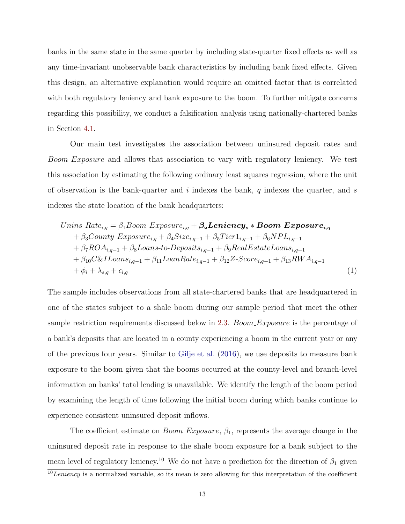banks in the same state in the same quarter by including state-quarter fixed effects as well as any time-invariant unobservable bank characteristics by including bank fixed effects. Given this design, an alternative explanation would require an omitted factor that is correlated with both regulatory leniency and bank exposure to the boom. To further mitigate concerns regarding this possibility, we conduct a falsification analysis using nationally-chartered banks in Section [4.1.](#page-21-0)

Our main test investigates the association between uninsured deposit rates and Boom Exposure and allows that association to vary with regulatory leniency. We test this association by estimating the following ordinary least squares regression, where the unit of observation is the bank-quarter and  $i$  indexes the bank,  $q$  indexes the quarter, and  $s$ indexes the state location of the bank headquarters:

<span id="page-14-0"></span>
$$
Unins_Rate_{i,q} = \beta_1 Boom\_Exposure_{i,q} + \beta_2 Lening_{s} * Boom\_Exposure_{i,q} + \beta_3 County\_Exposure_{i,q} + \beta_4 Size_{i,q-1} + \beta_5 Tier1_{i,q-1} + \beta_6 NPL_{i,q-1} + \beta_7 ROA_{i,q-1} + \beta_8 Loans-to-Deposits_{i,q-1} + \beta_9 RealEstate Loans_{i,q-1} + \beta_{10} C&I Loans_{i,q-1} + \beta_{11} LoanRate_{i,q-1} + \beta_{12} Z-Score_{i,q-1} + \beta_{13} RWA_{i,q-1} + \phi_i + \lambda_{s,q} + \epsilon_{i,q}
$$
\n(1)

The sample includes observations from all state-chartered banks that are headquartered in one of the states subject to a shale boom during our sample period that meet the other sample restriction requirements discussed below in [2.3.](#page-16-0) Boom Exposure is the percentage of a bank's deposits that are located in a county experiencing a boom in the current year or any of the previous four years. Similar to [Gilje et al.](#page-30-9) [\(2016\)](#page-30-9), we use deposits to measure bank exposure to the boom given that the booms occurred at the county-level and branch-level information on banks' total lending is unavailable. We identify the length of the boom period by examining the length of time following the initial boom during which banks continue to experience consistent uninsured deposit inflows.

The coefficient estimate on  $Boom\_Exposure$ ,  $\beta_1$ , represents the average change in the uninsured deposit rate in response to the shale boom exposure for a bank subject to the mean level of regulatory leniency.<sup>10</sup> We do not have a prediction for the direction of  $\beta_1$  given

 $\sqrt{10}$  Leniency is a normalized variable, so its mean is zero allowing for this interpretation of the coefficient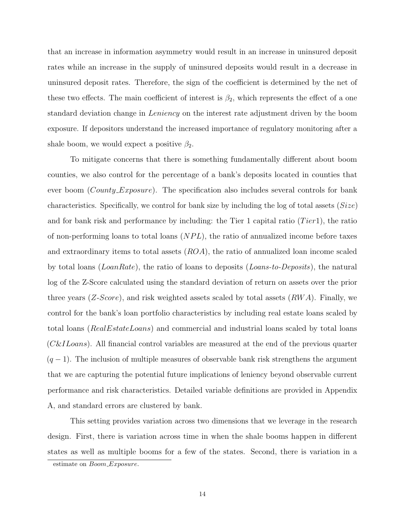that an increase in information asymmetry would result in an increase in uninsured deposit rates while an increase in the supply of uninsured deposits would result in a decrease in uninsured deposit rates. Therefore, the sign of the coefficient is determined by the net of these two effects. The main coefficient of interest is  $\beta_2$ , which represents the effect of a one standard deviation change in Leniency on the interest rate adjustment driven by the boom exposure. If depositors understand the increased importance of regulatory monitoring after a shale boom, we would expect a positive  $\beta_2$ .

To mitigate concerns that there is something fundamentally different about boom counties, we also control for the percentage of a bank's deposits located in counties that ever boom (*County Exposure*). The specification also includes several controls for bank characteristics. Specifically, we control for bank size by including the log of total assets  $(Size)$ and for bank risk and performance by including: the Tier 1 capital ratio  $(Tier1)$ , the ratio of non-performing loans to total loans  $(NPL)$ , the ratio of annualized income before taxes and extraordinary items to total assets  $(ROA)$ , the ratio of annualized loan income scaled by total loans (*LoanRate*), the ratio of loans to deposits (*Loans-to-Deposits*), the natural log of the Z-Score calculated using the standard deviation of return on assets over the prior three years  $(Z\text{-}Score)$ , and risk weighted assets scaled by total assets  $(RWA)$ . Finally, we control for the bank's loan portfolio characteristics by including real estate loans scaled by total loans (RealEstateLoans) and commercial and industrial loans scaled by total loans (C&ILoans). All financial control variables are measured at the end of the previous quarter  $(q-1)$ . The inclusion of multiple measures of observable bank risk strengthens the argument that we are capturing the potential future implications of leniency beyond observable current performance and risk characteristics. Detailed variable definitions are provided in Appendix A, and standard errors are clustered by bank.

This setting provides variation across two dimensions that we leverage in the research design. First, there is variation across time in when the shale booms happen in different states as well as multiple booms for a few of the states. Second, there is variation in a

estimate on Boom\_Exposure.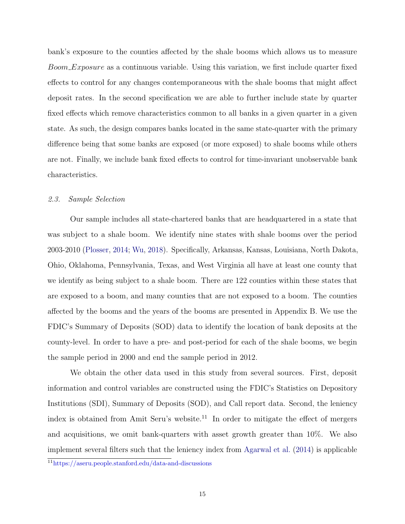bank's exposure to the counties affected by the shale booms which allows us to measure Boom Exposure as a continuous variable. Using this variation, we first include quarter fixed effects to control for any changes contemporaneous with the shale booms that might affect deposit rates. In the second specification we are able to further include state by quarter fixed effects which remove characteristics common to all banks in a given quarter in a given state. As such, the design compares banks located in the same state-quarter with the primary difference being that some banks are exposed (or more exposed) to shale booms while others are not. Finally, we include bank fixed effects to control for time-invariant unobservable bank characteristics.

## <span id="page-16-0"></span>2.3. Sample Selection

Our sample includes all state-chartered banks that are headquartered in a state that was subject to a shale boom. We identify nine states with shale booms over the period 2003-2010 [\(Plosser,](#page-31-16) [2014;](#page-31-16) [Wu,](#page-31-17) [2018\)](#page-31-17). Specifically, Arkansas, Kansas, Louisiana, North Dakota, Ohio, Oklahoma, Pennsylvania, Texas, and West Virginia all have at least one county that we identify as being subject to a shale boom. There are 122 counties within these states that are exposed to a boom, and many counties that are not exposed to a boom. The counties affected by the booms and the years of the booms are presented in Appendix B. We use the FDIC's Summary of Deposits (SOD) data to identify the location of bank deposits at the county-level. In order to have a pre- and post-period for each of the shale booms, we begin the sample period in 2000 and end the sample period in 2012.

We obtain the other data used in this study from several sources. First, deposit information and control variables are constructed using the FDIC's Statistics on Depository Institutions (SDI), Summary of Deposits (SOD), and Call report data. Second, the leniency index is obtained from Amit Seru's website.<sup>11</sup> In order to mitigate the effect of mergers and acquisitions, we omit bank-quarters with asset growth greater than 10%. We also implement several filters such that the leniency index from [Agarwal et al.](#page-30-2) [\(2014\)](#page-30-2) is applicable

<sup>11</sup><https://aseru.people.stanford.edu/data-and-discussions>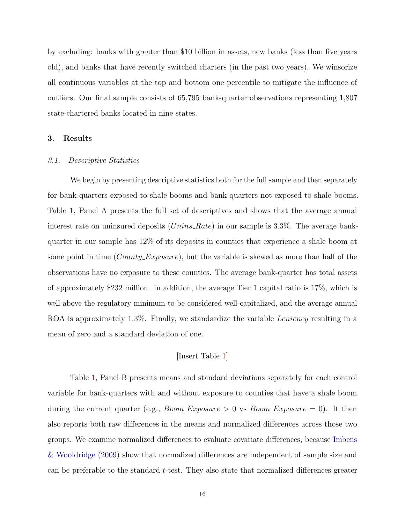by excluding: banks with greater than \$10 billion in assets, new banks (less than five years old), and banks that have recently switched charters (in the past two years). We winsorize all continuous variables at the top and bottom one percentile to mitigate the influence of outliers. Our final sample consists of 65,795 bank-quarter observations representing 1,807 state-chartered banks located in nine states.

## 3. Results

#### 3.1. Descriptive Statistics

We begin by presenting descriptive statistics both for the full sample and then separately for bank-quarters exposed to shale booms and bank-quarters not exposed to shale booms. Table [1,](#page-35-0) Panel A presents the full set of descriptives and shows that the average annual interest rate on uninsured deposits  $(Unins_Rate)$  in our sample is 3.3%. The average bankquarter in our sample has 12% of its deposits in counties that experience a shale boom at some point in time (*County Exposure*), but the variable is skewed as more than half of the observations have no exposure to these counties. The average bank-quarter has total assets of approximately \$232 million. In addition, the average Tier 1 capital ratio is 17%, which is well above the regulatory minimum to be considered well-capitalized, and the average annual ROA is approximately 1.3%. Finally, we standardize the variable Leniency resulting in a mean of zero and a standard deviation of one.

#### [Insert Table [1\]](#page-35-0)

Table [1,](#page-35-0) Panel B presents means and standard deviations separately for each control variable for bank-quarters with and without exposure to counties that have a shale boom during the current quarter (e.g.,  $Room\_Exposure > 0$  vs  $Room\_Exposure = 0$ ). It then also reports both raw differences in the means and normalized differences across those two groups. We examine normalized differences to evaluate covariate differences, because [Imbens](#page-31-18) [& Wooldridge](#page-31-18) [\(2009\)](#page-31-18) show that normalized differences are independent of sample size and can be preferable to the standard t-test. They also state that normalized differences greater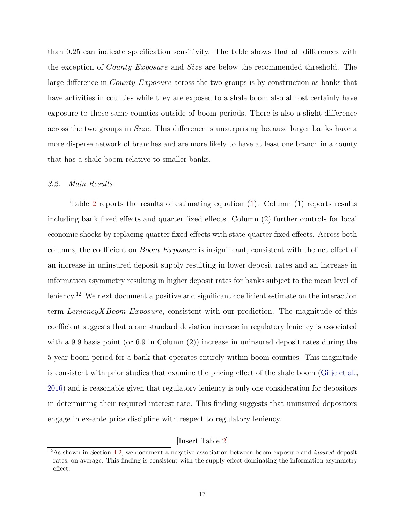than 0.25 can indicate specification sensitivity. The table shows that all differences with the exception of *County\_Exposure* and *Size* are below the recommended threshold. The large difference in *County Exposure* across the two groups is by construction as banks that have activities in counties while they are exposed to a shale boom also almost certainly have exposure to those same counties outside of boom periods. There is also a slight difference across the two groups in Size. This difference is unsurprising because larger banks have a more disperse network of branches and are more likely to have at least one branch in a county that has a shale boom relative to smaller banks.

#### 3.2. Main Results

Table [2](#page-36-0) reports the results of estimating equation [\(1\)](#page-14-0). Column (1) reports results including bank fixed effects and quarter fixed effects. Column (2) further controls for local economic shocks by replacing quarter fixed effects with state-quarter fixed effects. Across both columns, the coefficient on  $Boom\_Exposure$  is insignificant, consistent with the net effect of an increase in uninsured deposit supply resulting in lower deposit rates and an increase in information asymmetry resulting in higher deposit rates for banks subject to the mean level of leniency.<sup>12</sup> We next document a positive and significant coefficient estimate on the interaction term LeniencyXBoom Exposure, consistent with our prediction. The magnitude of this coefficient suggests that a one standard deviation increase in regulatory leniency is associated with a 9.9 basis point (or 6.9 in Column  $(2)$ ) increase in uninsured deposit rates during the 5-year boom period for a bank that operates entirely within boom counties. This magnitude is consistent with prior studies that examine the pricing effect of the shale boom [\(Gilje et al.,](#page-30-9) [2016\)](#page-30-9) and is reasonable given that regulatory leniency is only one consideration for depositors in determining their required interest rate. This finding suggests that uninsured depositors engage in ex-ante price discipline with respect to regulatory leniency.

[Insert Table [2\]](#page-36-0)

 $12$ As shown in Section [4.2,](#page-22-0) we document a negative association between boom exposure and *insured* deposit rates, on average. This finding is consistent with the supply effect dominating the information asymmetry effect.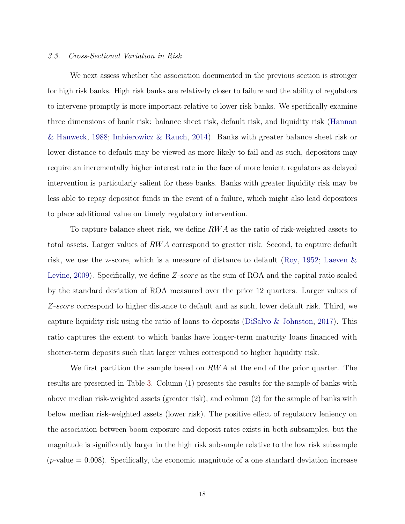### 3.3. Cross-Sectional Variation in Risk

We next assess whether the association documented in the previous section is stronger for high risk banks. High risk banks are relatively closer to failure and the ability of regulators to intervene promptly is more important relative to lower risk banks. We specifically examine three dimensions of bank risk: balance sheet risk, default risk, and liquidity risk [\(Hannan](#page-31-9) [& Hanweck,](#page-31-9) [1988;](#page-31-9) [Imbierowicz & Rauch,](#page-31-10) [2014\)](#page-31-10). Banks with greater balance sheet risk or lower distance to default may be viewed as more likely to fail and as such, depositors may require an incrementally higher interest rate in the face of more lenient regulators as delayed intervention is particularly salient for these banks. Banks with greater liquidity risk may be less able to repay depositor funds in the event of a failure, which might also lead depositors to place additional value on timely regulatory intervention.

To capture balance sheet risk, we define RW A as the ratio of risk-weighted assets to total assets. Larger values of RW A correspond to greater risk. Second, to capture default risk, we use the z-score, which is a measure of distance to default [\(Roy,](#page-31-19) [1952;](#page-31-19) [Laeven &](#page-31-12) [Levine,](#page-31-12) [2009\)](#page-31-12). Specifically, we define Z-score as the sum of ROA and the capital ratio scaled by the standard deviation of ROA measured over the prior 12 quarters. Larger values of Z-score correspond to higher distance to default and as such, lower default risk. Third, we capture liquidity risk using the ratio of loans to deposits (DiSalvo  $\&$  Johnston, [2017\)](#page-30-19). This ratio captures the extent to which banks have longer-term maturity loans financed with shorter-term deposits such that larger values correspond to higher liquidity risk.

We first partition the sample based on  $RWA$  at the end of the prior quarter. The results are presented in Table [3.](#page-37-0) Column (1) presents the results for the sample of banks with above median risk-weighted assets (greater risk), and column (2) for the sample of banks with below median risk-weighted assets (lower risk). The positive effect of regulatory leniency on the association between boom exposure and deposit rates exists in both subsamples, but the magnitude is significantly larger in the high risk subsample relative to the low risk subsample (*p*-value  $= 0.008$ ). Specifically, the economic magnitude of a one standard deviation increase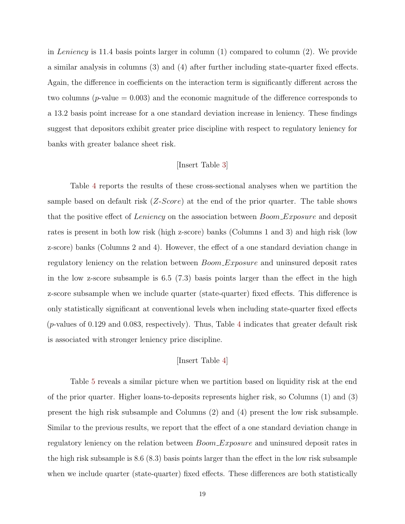in Leniency is 11.4 basis points larger in column  $(1)$  compared to column  $(2)$ . We provide a similar analysis in columns (3) and (4) after further including state-quarter fixed effects. Again, the difference in coefficients on the interaction term is significantly different across the two columns  $(p\text{-value} = 0.003)$  and the economic magnitude of the difference corresponds to a 13.2 basis point increase for a one standard deviation increase in leniency. These findings suggest that depositors exhibit greater price discipline with respect to regulatory leniency for banks with greater balance sheet risk.

### [Insert Table [3\]](#page-37-0)

Table [4](#page-38-0) reports the results of these cross-sectional analyses when we partition the sample based on default risk  $(Z\text{-}Score)$  at the end of the prior quarter. The table shows that the positive effect of Leniency on the association between Boom Exposure and deposit rates is present in both low risk (high z-score) banks (Columns 1 and 3) and high risk (low z-score) banks (Columns 2 and 4). However, the effect of a one standard deviation change in regulatory leniency on the relation between *Boom\_Exposure* and uninsured deposit rates in the low z-score subsample is 6.5 (7.3) basis points larger than the effect in the high z-score subsample when we include quarter (state-quarter) fixed effects. This difference is only statistically significant at conventional levels when including state-quarter fixed effects (*p*-values of 0.129 and 0.083, respectively). Thus, Table [4](#page-38-0) indicates that greater default risk is associated with stronger leniency price discipline.

# [Insert Table [4\]](#page-38-0)

Table [5](#page-39-0) reveals a similar picture when we partition based on liquidity risk at the end of the prior quarter. Higher loans-to-deposits represents higher risk, so Columns (1) and (3) present the high risk subsample and Columns (2) and (4) present the low risk subsample. Similar to the previous results, we report that the effect of a one standard deviation change in regulatory leniency on the relation between  $Boom\_{Exposure}$  and uninsured deposit rates in the high risk subsample is 8.6 (8.3) basis points larger than the effect in the low risk subsample when we include quarter (state-quarter) fixed effects. These differences are both statistically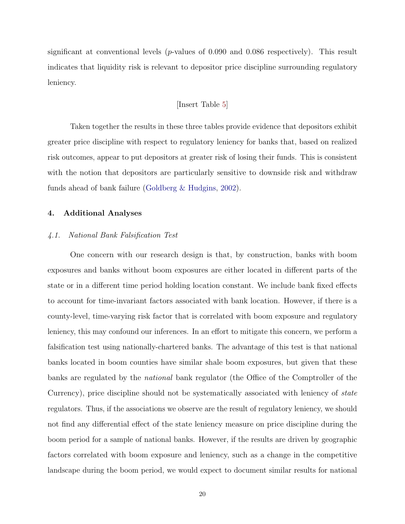significant at conventional levels ( $p$ -values of 0.090 and 0.086 respectively). This result indicates that liquidity risk is relevant to depositor price discipline surrounding regulatory leniency.

## [Insert Table [5\]](#page-39-0)

Taken together the results in these three tables provide evidence that depositors exhibit greater price discipline with respect to regulatory leniency for banks that, based on realized risk outcomes, appear to put depositors at greater risk of losing their funds. This is consistent with the notion that depositors are particularly sensitive to downside risk and withdraw funds ahead of bank failure [\(Goldberg & Hudgins,](#page-31-15) [2002\)](#page-31-15).

## 4. Additional Analyses

#### <span id="page-21-0"></span>4.1. National Bank Falsification Test

One concern with our research design is that, by construction, banks with boom exposures and banks without boom exposures are either located in different parts of the state or in a different time period holding location constant. We include bank fixed effects to account for time-invariant factors associated with bank location. However, if there is a county-level, time-varying risk factor that is correlated with boom exposure and regulatory leniency, this may confound our inferences. In an effort to mitigate this concern, we perform a falsification test using nationally-chartered banks. The advantage of this test is that national banks located in boom counties have similar shale boom exposures, but given that these banks are regulated by the national bank regulator (the Office of the Comptroller of the Currency), price discipline should not be systematically associated with leniency of state regulators. Thus, if the associations we observe are the result of regulatory leniency, we should not find any differential effect of the state leniency measure on price discipline during the boom period for a sample of national banks. However, if the results are driven by geographic factors correlated with boom exposure and leniency, such as a change in the competitive landscape during the boom period, we would expect to document similar results for national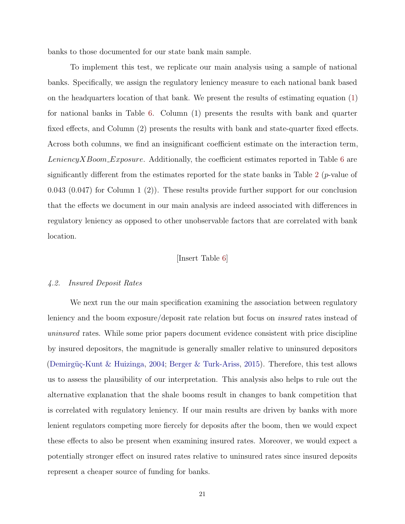banks to those documented for our state bank main sample.

To implement this test, we replicate our main analysis using a sample of national banks. Specifically, we assign the regulatory leniency measure to each national bank based on the headquarters location of that bank. We present the results of estimating equation [\(1\)](#page-14-0) for national banks in Table [6.](#page-40-0) Column (1) presents the results with bank and quarter fixed effects, and Column (2) presents the results with bank and state-quarter fixed effects. Across both columns, we find an insignificant coefficient estimate on the interaction term, LeniencyXBoom\_Exposure. Additionally, the coefficient estimates reported in Table  $6$  are significantly different from the estimates reported for the state banks in Table [2](#page-36-0) ( $p$ -value of 0.043 (0.047) for Column 1 (2)). These results provide further support for our conclusion that the effects we document in our main analysis are indeed associated with differences in regulatory leniency as opposed to other unobservable factors that are correlated with bank location.

## [Insert Table [6\]](#page-40-0)

#### <span id="page-22-0"></span>4.2. Insured Deposit Rates

We next run the our main specification examining the association between regulatory leniency and the boom exposure/deposit rate relation but focus on insured rates instead of uninsured rates. While some prior papers document evidence consistent with price discipline by insured depositors, the magnitude is generally smaller relative to uninsured depositors (Demirgüç-Kunt & Huizinga, [2004;](#page-30-6) [Berger & Turk-Ariss,](#page-30-11) [2015\)](#page-30-11). Therefore, this test allows us to assess the plausibility of our interpretation. This analysis also helps to rule out the alternative explanation that the shale booms result in changes to bank competition that is correlated with regulatory leniency. If our main results are driven by banks with more lenient regulators competing more fiercely for deposits after the boom, then we would expect these effects to also be present when examining insured rates. Moreover, we would expect a potentially stronger effect on insured rates relative to uninsured rates since insured deposits represent a cheaper source of funding for banks.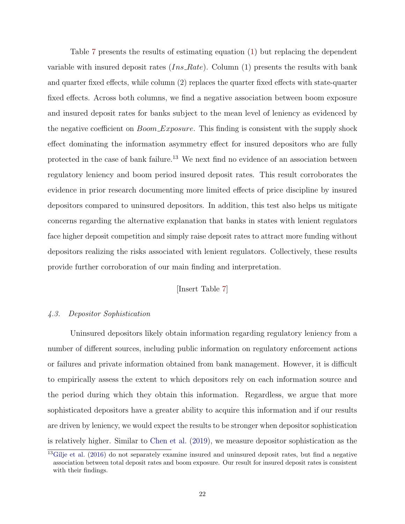Table [7](#page-41-0) presents the results of estimating equation [\(1\)](#page-14-0) but replacing the dependent variable with insured deposit rates  $(Ins_Rate)$ . Column (1) presents the results with bank and quarter fixed effects, while column (2) replaces the quarter fixed effects with state-quarter fixed effects. Across both columns, we find a negative association between boom exposure and insured deposit rates for banks subject to the mean level of leniency as evidenced by the negative coefficient on *Boom\_Exposure*. This finding is consistent with the supply shock effect dominating the information asymmetry effect for insured depositors who are fully protected in the case of bank failure.<sup>13</sup> We next find no evidence of an association between regulatory leniency and boom period insured deposit rates. This result corroborates the evidence in prior research documenting more limited effects of price discipline by insured depositors compared to uninsured depositors. In addition, this test also helps us mitigate concerns regarding the alternative explanation that banks in states with lenient regulators face higher deposit competition and simply raise deposit rates to attract more funding without depositors realizing the risks associated with lenient regulators. Collectively, these results provide further corroboration of our main finding and interpretation.

# [Insert Table [7\]](#page-41-0)

## 4.3. Depositor Sophistication

Uninsured depositors likely obtain information regarding regulatory leniency from a number of different sources, including public information on regulatory enforcement actions or failures and private information obtained from bank management. However, it is difficult to empirically assess the extent to which depositors rely on each information source and the period during which they obtain this information. Regardless, we argue that more sophisticated depositors have a greater ability to acquire this information and if our results are driven by leniency, we would expect the results to be stronger when depositor sophistication is relatively higher. Similar to [Chen et al.](#page-30-8) [\(2019\)](#page-30-8), we measure depositor sophistication as the

 $13$ [Gilje et al.](#page-30-9) [\(2016\)](#page-30-9) do not separately examine insured and uninsured deposit rates, but find a negative association between total deposit rates and boom exposure. Our result for insured deposit rates is consistent with their findings.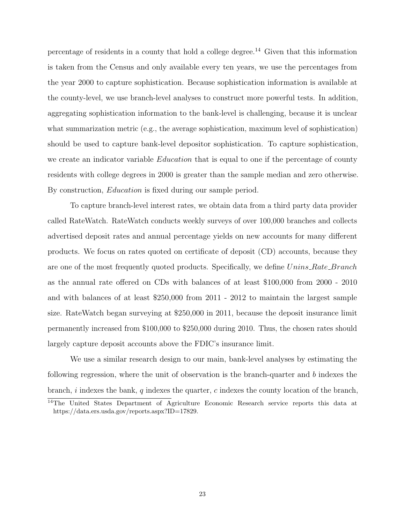percentage of residents in a county that hold a college degree.<sup>14</sup> Given that this information is taken from the Census and only available every ten years, we use the percentages from the year 2000 to capture sophistication. Because sophistication information is available at the county-level, we use branch-level analyses to construct more powerful tests. In addition, aggregating sophistication information to the bank-level is challenging, because it is unclear what summarization metric (e.g., the average sophistication, maximum level of sophistication) should be used to capture bank-level depositor sophistication. To capture sophistication, we create an indicator variable *Education* that is equal to one if the percentage of county residents with college degrees in 2000 is greater than the sample median and zero otherwise. By construction, *Education* is fixed during our sample period.

To capture branch-level interest rates, we obtain data from a third party data provider called RateWatch. RateWatch conducts weekly surveys of over 100,000 branches and collects advertised deposit rates and annual percentage yields on new accounts for many different products. We focus on rates quoted on certificate of deposit (CD) accounts, because they are one of the most frequently quoted products. Specifically, we define Unins\_Rate\_Branch as the annual rate offered on CDs with balances of at least \$100,000 from 2000 - 2010 and with balances of at least \$250,000 from 2011 - 2012 to maintain the largest sample size. RateWatch began surveying at \$250,000 in 2011, because the deposit insurance limit permanently increased from \$100,000 to \$250,000 during 2010. Thus, the chosen rates should largely capture deposit accounts above the FDIC's insurance limit.

We use a similar research design to our main, bank-level analyses by estimating the following regression, where the unit of observation is the branch-quarter and b indexes the branch,  $i$  indexes the bank,  $q$  indexes the quarter,  $c$  indexes the county location of the branch,

<sup>14</sup>The United States Department of Agriculture Economic Research service reports this data at https://data.ers.usda.gov/reports.aspx?ID=17829.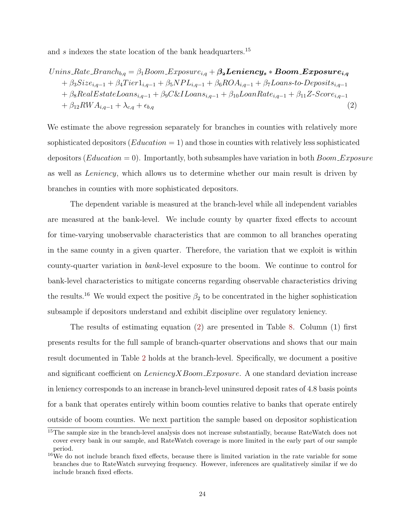and s indexes the state location of the bank headquarters.<sup>15</sup>

<span id="page-25-0"></span>
$$
Unins_Rate\_Branch_{b,q} = \beta_1 Boom\_Exposure_{i,q} + \beta_2 Leniency_s * Boom\_Exposure_{i,q} + \beta_3 Size_{i,q-1} + \beta_4 Tier1_{i,q-1} + \beta_5 NPL_{i,q-1} + \beta_6 ROA_{i,q-1} + \beta_7 Loans-to-Deposits_{i,q-1} + \beta_8 RealEstateLoans_{i,q-1} + \beta_9 C&ILoans_{i,q-1} + \beta_{10} LoanRate_{i,q-1} + \beta_{11} Z-Score_{i,q-1} + \beta_{12} RWA_{i,q-1} + \lambda_{c,q} + \epsilon_{b,q}
$$
\n(2)

We estimate the above regression separately for branches in counties with relatively more sophisticated depositors  $(Education = 1)$  and those in counties with relatively less sophisticated depositors (*Education* = 0). Importantly, both subsamples have variation in both  $Boom\_{Exposure}$ as well as Leniency, which allows us to determine whether our main result is driven by branches in counties with more sophisticated depositors.

The dependent variable is measured at the branch-level while all independent variables are measured at the bank-level. We include county by quarter fixed effects to account for time-varying unobservable characteristics that are common to all branches operating in the same county in a given quarter. Therefore, the variation that we exploit is within county-quarter variation in bank-level exposure to the boom. We continue to control for bank-level characteristics to mitigate concerns regarding observable characteristics driving the results.<sup>16</sup> We would expect the positive  $\beta_2$  to be concentrated in the higher sophistication subsample if depositors understand and exhibit discipline over regulatory leniency.

The results of estimating equation [\(2\)](#page-25-0) are presented in Table [8.](#page-42-0) Column (1) first presents results for the full sample of branch-quarter observations and shows that our main result documented in Table [2](#page-36-0) holds at the branch-level. Specifically, we document a positive and significant coefficient on  $LenencyXBound$ . A one standard deviation increase in leniency corresponds to an increase in branch-level uninsured deposit rates of 4.8 basis points for a bank that operates entirely within boom counties relative to banks that operate entirely outside of boom counties. We next partition the sample based on depositor sophistication

<sup>&</sup>lt;sup>15</sup>The sample size in the branch-level analysis does not increase substantially, because RateWatch does not cover every bank in our sample, and RateWatch coverage is more limited in the early part of our sample period.

 $16$ We do not include branch fixed effects, because there is limited variation in the rate variable for some branches due to RateWatch surveying frequency. However, inferences are qualitatively similar if we do include branch fixed effects.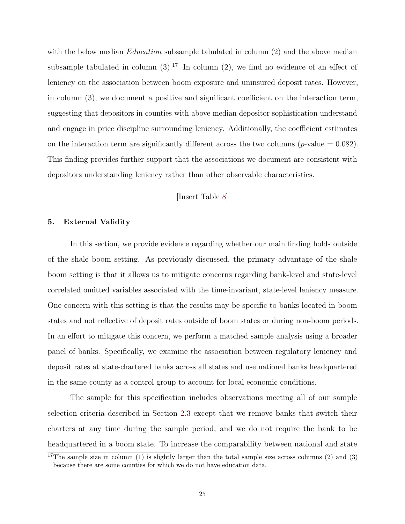with the below median *Education* subsample tabulated in column  $(2)$  and the above median subsample tabulated in column  $(3)$ .<sup>17</sup> In column  $(2)$ , we find no evidence of an effect of leniency on the association between boom exposure and uninsured deposit rates. However, in column (3), we document a positive and significant coefficient on the interaction term, suggesting that depositors in counties with above median depositor sophistication understand and engage in price discipline surrounding leniency. Additionally, the coefficient estimates on the interaction term are significantly different across the two columns ( $p$ -value = 0.082). This finding provides further support that the associations we document are consistent with depositors understanding leniency rather than other observable characteristics.

[Insert Table [8\]](#page-42-0)

# 5. External Validity

In this section, we provide evidence regarding whether our main finding holds outside of the shale boom setting. As previously discussed, the primary advantage of the shale boom setting is that it allows us to mitigate concerns regarding bank-level and state-level correlated omitted variables associated with the time-invariant, state-level leniency measure. One concern with this setting is that the results may be specific to banks located in boom states and not reflective of deposit rates outside of boom states or during non-boom periods. In an effort to mitigate this concern, we perform a matched sample analysis using a broader panel of banks. Specifically, we examine the association between regulatory leniency and deposit rates at state-chartered banks across all states and use national banks headquartered in the same county as a control group to account for local economic conditions.

The sample for this specification includes observations meeting all of our sample selection criteria described in Section [2.3](#page-16-0) except that we remove banks that switch their charters at any time during the sample period, and we do not require the bank to be headquartered in a boom state. To increase the comparability between national and state

<sup>&</sup>lt;sup>17</sup>The sample size in column (1) is slightly larger than the total sample size across columns (2) and (3) because there are some counties for which we do not have education data.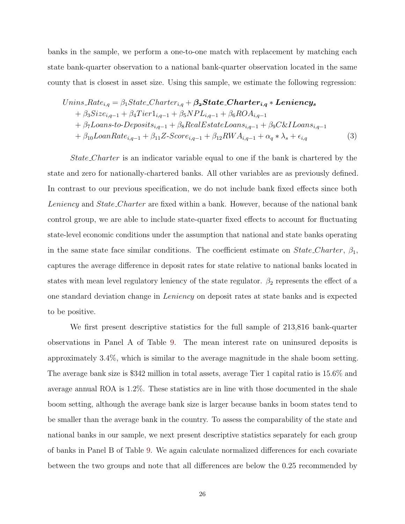banks in the sample, we perform a one-to-one match with replacement by matching each state bank-quarter observation to a national bank-quarter observation located in the same county that is closest in asset size. Using this sample, we estimate the following regression:

<span id="page-27-0"></span>
$$
Unins_Rate_{i,q} = \beta_1 State_{\text{Character}_{i,q}} + \beta_2 State_{\text{Character}_{i,q}} * \text{Lenency}_{s}
$$
  
+ 
$$
\beta_3 Size_{i,q-1} + \beta_4 Tier1_{i,q-1} + \beta_5 NPL_{i,q-1} + \beta_6 ROA_{i,q-1}
$$
  
+ 
$$
\beta_7 Loans\text{-}to\text{-}Deposits_{i,q-1} + \beta_8 RealEstateLoans_{i,q-1} + \beta_9 C&\text{LLoans}_{i,q-1}
$$
  
+ 
$$
\beta_{10} LoanRate_{i,q-1} + \beta_{11} Z \text{-}Score_{i,q-1} + \beta_{12} RWA_{i,q-1} + \alpha_q * \lambda_s + \epsilon_{i,q}
$$
 (3)

State Charter is an indicator variable equal to one if the bank is chartered by the state and zero for nationally-chartered banks. All other variables are as previously defined. In contrast to our previous specification, we do not include bank fixed effects since both Leniency and State Charter are fixed within a bank. However, because of the national bank control group, we are able to include state-quarter fixed effects to account for fluctuating state-level economic conditions under the assumption that national and state banks operating in the same state face similar conditions. The coefficient estimate on  $State\_Character$ ,  $\beta_1$ , captures the average difference in deposit rates for state relative to national banks located in states with mean level regulatory leniency of the state regulator.  $\beta_2$  represents the effect of a one standard deviation change in Leniency on deposit rates at state banks and is expected to be positive.

We first present descriptive statistics for the full sample of 213,816 bank-quarter observations in Panel A of Table [9.](#page-43-0) The mean interest rate on uninsured deposits is approximately 3.4%, which is similar to the average magnitude in the shale boom setting. The average bank size is \$342 million in total assets, average Tier 1 capital ratio is 15.6% and average annual ROA is 1.2%. These statistics are in line with those documented in the shale boom setting, although the average bank size is larger because banks in boom states tend to be smaller than the average bank in the country. To assess the comparability of the state and national banks in our sample, we next present descriptive statistics separately for each group of banks in Panel B of Table [9.](#page-43-0) We again calculate normalized differences for each covariate between the two groups and note that all differences are below the 0.25 recommended by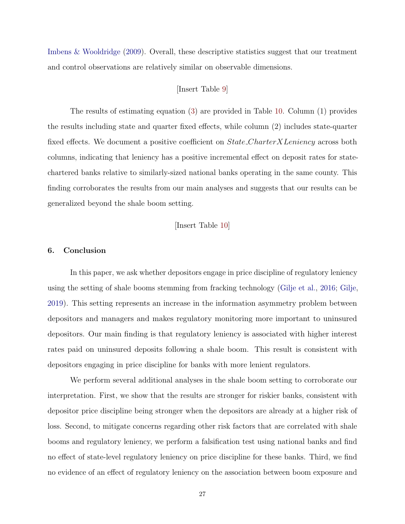[Imbens & Wooldridge](#page-31-18) [\(2009\)](#page-31-18). Overall, these descriptive statistics suggest that our treatment and control observations are relatively similar on observable dimensions.

# [Insert Table [9\]](#page-43-0)

The results of estimating equation [\(3\)](#page-27-0) are provided in Table [10.](#page-44-0) Column (1) provides the results including state and quarter fixed effects, while column (2) includes state-quarter fixed effects. We document a positive coefficient on *State\_CharterXLeniency* across both columns, indicating that leniency has a positive incremental effect on deposit rates for statechartered banks relative to similarly-sized national banks operating in the same county. This finding corroborates the results from our main analyses and suggests that our results can be generalized beyond the shale boom setting.

[Insert Table [10\]](#page-44-0)

# 6. Conclusion

In this paper, we ask whether depositors engage in price discipline of regulatory leniency using the setting of shale booms stemming from fracking technology [\(Gilje et al.,](#page-30-9) [2016;](#page-30-9) [Gilje,](#page-30-10) [2019\)](#page-30-10). This setting represents an increase in the information asymmetry problem between depositors and managers and makes regulatory monitoring more important to uninsured depositors. Our main finding is that regulatory leniency is associated with higher interest rates paid on uninsured deposits following a shale boom. This result is consistent with depositors engaging in price discipline for banks with more lenient regulators.

We perform several additional analyses in the shale boom setting to corroborate our interpretation. First, we show that the results are stronger for riskier banks, consistent with depositor price discipline being stronger when the depositors are already at a higher risk of loss. Second, to mitigate concerns regarding other risk factors that are correlated with shale booms and regulatory leniency, we perform a falsification test using national banks and find no effect of state-level regulatory leniency on price discipline for these banks. Third, we find no evidence of an effect of regulatory leniency on the association between boom exposure and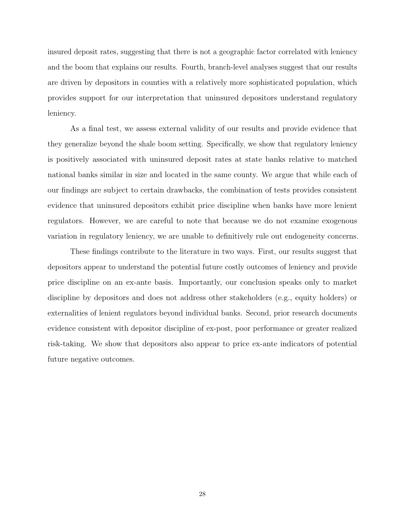insured deposit rates, suggesting that there is not a geographic factor correlated with leniency and the boom that explains our results. Fourth, branch-level analyses suggest that our results are driven by depositors in counties with a relatively more sophisticated population, which provides support for our interpretation that uninsured depositors understand regulatory leniency.

As a final test, we assess external validity of our results and provide evidence that they generalize beyond the shale boom setting. Specifically, we show that regulatory leniency is positively associated with uninsured deposit rates at state banks relative to matched national banks similar in size and located in the same county. We argue that while each of our findings are subject to certain drawbacks, the combination of tests provides consistent evidence that uninsured depositors exhibit price discipline when banks have more lenient regulators. However, we are careful to note that because we do not examine exogenous variation in regulatory leniency, we are unable to definitively rule out endogeneity concerns.

These findings contribute to the literature in two ways. First, our results suggest that depositors appear to understand the potential future costly outcomes of leniency and provide price discipline on an ex-ante basis. Importantly, our conclusion speaks only to market discipline by depositors and does not address other stakeholders (e.g., equity holders) or externalities of lenient regulators beyond individual banks. Second, prior research documents evidence consistent with depositor discipline of ex-post, poor performance or greater realized risk-taking. We show that depositors also appear to price ex-ante indicators of potential future negative outcomes.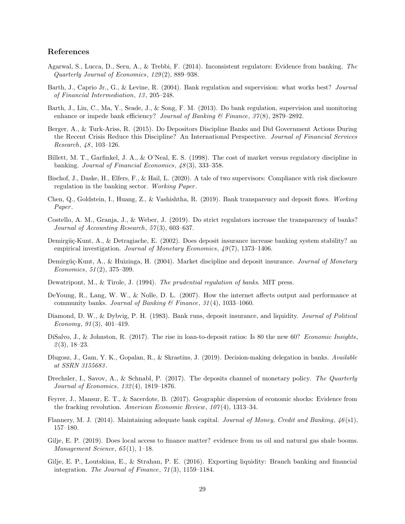#### References

- <span id="page-30-2"></span>Agarwal, S., Lucca, D., Seru, A., & Trebbi, F. (2014). Inconsistent regulators: Evidence from banking. The Quarterly Journal of Economics, 129 (2), 889–938.
- <span id="page-30-0"></span>Barth, J., Caprio Jr., G., & Levine, R. (2004). Bank regulation and supervision: what works best? Journal of Financial Intermediation, 13 , 205–248.
- <span id="page-30-14"></span>Barth, J., Lin, C., Ma, Y., Seade, J., & Song, F. M. (2013). Do bank regulation, supervision and monitoring enhance or impede bank efficiency? Journal of Banking  $\mathscr{C}$  Finance, 37(8), 2879–2892.
- <span id="page-30-11"></span>Berger, A., & Turk-Ariss, R. (2015). Do Depositors Discipline Banks and Did Government Actions During the Recent Crisis Reduce this Discipline? An International Perspective. Journal of Financial Services Research, 48, 103-126.
- <span id="page-30-17"></span>Billett, M. T., Garfinkel, J. A., & O'Neal, E. S. (1998). The cost of market versus regulatory discipline in banking. *Journal of Financial Economics*, 48(3), 333–358.
- <span id="page-30-1"></span>Bischof, J., Daske, H., Elfers, F., & Hail, L. (2020). A tale of two supervisors: Compliance with risk disclosure regulation in the banking sector. Working Paper.
- <span id="page-30-8"></span>Chen, Q., Goldstein, I., Huang, Z., & Vashishtha, R. (2019). Bank transparency and deposit flows. Working Paper.
- <span id="page-30-15"></span>Costello, A. M., Granja, J., & Weber, J. (2019). Do strict regulators increase the transparency of banks? Journal of Accounting Research, 57 (3), 603–637.
- <span id="page-30-5"></span>Demirgüç-Kunt, A., & Detragiache, E. (2002). Does deposit insurance increase banking system stability? an empirical investigation. Journal of Monetary Economics,  $49(7)$ , 1373–1406.
- <span id="page-30-6"></span>Demirgüç-Kunt, A., & Huizinga, H. (2004). Market discipline and deposit insurance. *Journal of Monetary* Economics, 51 (2), 375–399.
- <span id="page-30-4"></span>Dewatripont, M., & Tirole, J. (1994). The prudential regulation of banks. MIT press.
- <span id="page-30-7"></span>DeYoung, R., Lang, W. W., & Nolle, D. L. (2007). How the internet affects output and performance at community banks. Journal of Banking & Finance,  $31(4)$ , 1033-1060.
- <span id="page-30-3"></span>Diamond, D. W., & Dybvig, P. H. (1983). Bank runs, deposit insurance, and liquidity. Journal of Political Economy,  $91(3)$ ,  $401-419$ .
- <span id="page-30-19"></span>DiSalvo, J., & Johnston, R. (2017). The rise in loan-to-deposit ratios: Is 80 the new 60? Economic Insights,  $\mathcal{2}(3), 18-23.$
- <span id="page-30-13"></span>Dlugosz, J., Gam, Y. K., Gopalan, R., & Skrastins, J. (2019). Decision-making delegation in banks. Available at SSRN 3155683 .
- <span id="page-30-12"></span>Drechsler, I., Savov, A., & Schnabl, P. (2017). The deposits channel of monetary policy. The Quarterly Journal of Economics, 132 (4), 1819–1876.
- <span id="page-30-18"></span>Feyrer, J., Mansur, E. T., & Sacerdote, B. (2017). Geographic dispersion of economic shocks: Evidence from the fracking revolution. American Economic Review,  $107(4)$ , 1313–34.
- <span id="page-30-16"></span>Flannery, M. J. (2014). Maintaining adequate bank capital. Journal of Money, Credit and Banking, 46 (s1), 157–180.
- <span id="page-30-10"></span>Gilje, E. P. (2019). Does local access to finance matter? evidence from us oil and natural gas shale booms. Management Science, 65 (1), 1–18.
- <span id="page-30-9"></span>Gilje, E. P., Loutskina, E., & Strahan, P. E. (2016). Exporting liquidity: Branch banking and financial integration. The Journal of Finance, 71 (3), 1159–1184.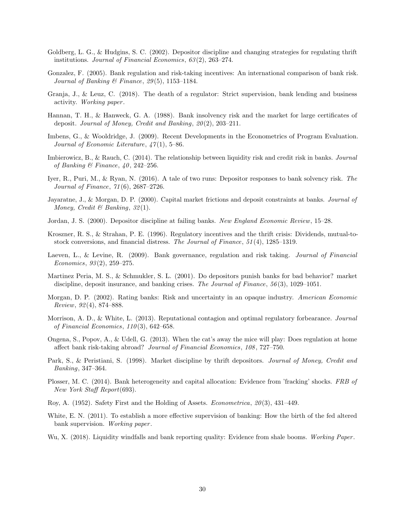- <span id="page-31-15"></span>Goldberg, L. G., & Hudgins, S. C. (2002). Depositor discipline and changing strategies for regulating thrift institutions. Journal of Financial Economics, 63 (2), 263–274.
- <span id="page-31-11"></span>Gonzalez, F. (2005). Bank regulation and risk-taking incentives: An international comparison of bank risk. Journal of Banking & Finance, 29(5), 1153-1184.
- <span id="page-31-14"></span>Granja, J., & Leuz, C. (2018). The death of a regulator: Strict supervision, bank lending and business activity. Working paper .
- <span id="page-31-9"></span>Hannan, T. H., & Hanweck, G. A. (1988). Bank insolvency risk and the market for large certificates of deposit. Journal of Money, Credit and Banking,  $20(2)$ , 203-211.
- <span id="page-31-18"></span>Imbens, G., & Wooldridge, J. (2009). Recent Developments in the Econometrics of Program Evaluation. Journal of Economic Literature,  $\frac{47}{1}$ , 5–86.
- <span id="page-31-10"></span>Imbierowicz, B., & Rauch, C. (2014). The relationship between liquidity risk and credit risk in banks. Journal of Banking & Finance,  $40, 242-256$ .
- <span id="page-31-6"></span>Iyer, R., Puri, M., & Ryan, N. (2016). A tale of two runs: Depositor responses to bank solvency risk. The Journal of Finance, 71 (6), 2687–2726.
- <span id="page-31-5"></span>Jayaratne, J., & Morgan, D. P. (2000). Capital market frictions and deposit constraints at banks. Journal of Money, Credit & Banking,  $32(1)$ .
- <span id="page-31-7"></span>Jordan, J. S. (2000). Depositor discipline at failing banks. New England Economic Review, 15–28.
- <span id="page-31-0"></span>Kroszner, R. S., & Strahan, P. E. (1996). Regulatory incentives and the thrift crisis: Dividends, mutual-tostock conversions, and financial distress. The Journal of Finance, 51 (4), 1285–1319.
- <span id="page-31-12"></span>Laeven, L., & Levine, R. (2009). Bank governance, regulation and risk taking. Journal of Financial Economics, 93 (2), 259–275.
- <span id="page-31-4"></span>Martinez Peria, M. S., & Schmukler, S. L. (2001). Do depositors punish banks for bad behavior? market discipline, deposit insurance, and banking crises. The Journal of Finance, 56(3), 1029–1051.
- <span id="page-31-8"></span>Morgan, D. P. (2002). Rating banks: Risk and uncertainty in an opaque industry. American Economic  $Review, 92(4), 874-888.$
- <span id="page-31-2"></span>Morrison, A. D., & White, L. (2013). Reputational contagion and optimal regulatory forbearance. Journal of Financial Economics,  $110(3)$ , 642-658.
- <span id="page-31-13"></span>Ongena, S., Popov, A., & Udell, G. (2013). When the cat's away the mice will play: Does regulation at home affect bank risk-taking abroad? Journal of Financial Economics, 108 , 727–750.
- <span id="page-31-3"></span>Park, S., & Peristiani, S. (1998). Market discipline by thrift depositors. Journal of Money, Credit and Banking, 347–364.
- <span id="page-31-16"></span>Plosser, M. C. (2014). Bank heterogeneity and capital allocation: Evidence from 'fracking' shocks. FRB of New York Staff Report(693).
- <span id="page-31-19"></span>Roy, A.  $(1952)$ . Safety First and the Holding of Assets. *Econometrica*,  $20(3)$ ,  $431-449$ .
- <span id="page-31-1"></span>White, E. N. (2011). To establish a more effective supervision of banking: How the birth of the fed altered bank supervision. *Working paper*.
- <span id="page-31-17"></span>Wu, X. (2018). Liquidity windfalls and bank reporting quality: Evidence from shale booms. Working Paper.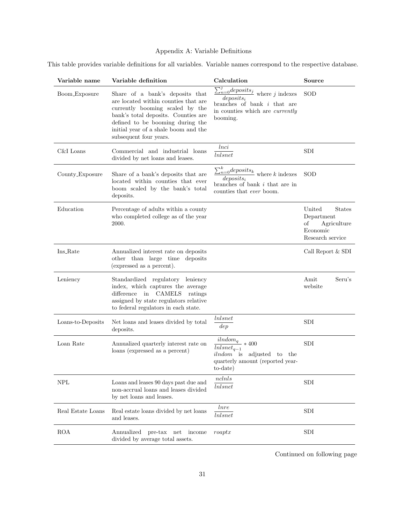# Appendix A: Variable Definitions

This table provides variable definitions for all variables. Variable names correspond to the respective database.

| Variable name     | Variable definition                                                                                                                                                                                                                                     | Calculation                                                                                                                                                              | Source                                                                                     |
|-------------------|---------------------------------------------------------------------------------------------------------------------------------------------------------------------------------------------------------------------------------------------------------|--------------------------------------------------------------------------------------------------------------------------------------------------------------------------|--------------------------------------------------------------------------------------------|
| Boom_Exposure     | Share of a bank's deposits that<br>are located within counties that are<br>currently booming scaled by the<br>bank's total deposits. Counties are<br>defined to be booming during the<br>initial year of a shale boom and the<br>subsequent four years. | $deposits_i$<br>branches of bank $i$ that are<br>in counties which are <i>currently</i><br>booming.                                                                      | SOD                                                                                        |
| C&I Loans         | Commercial and industrial loans<br>divided by net loans and leases.                                                                                                                                                                                     | lnci<br>lnlsnet                                                                                                                                                          | <b>SDI</b>                                                                                 |
| County_Exposure   | Share of a bank's deposits that are<br>located within counties that ever<br>boom scaled by the bank's total<br>deposits.                                                                                                                                | $\frac{\sum_{n=0}^{k}deposits_{k}}{\sum_{n=0}^{k}deposits_{k}}$ where $k$ indexes<br>$deposits_i$<br>branches of bank $i$ that are in<br>counties that <i>ever</i> boom. | SOD                                                                                        |
| Education         | Percentage of adults within a county<br>who completed college as of the year<br>2000.                                                                                                                                                                   |                                                                                                                                                                          | United<br><b>States</b><br>Department<br>οf<br>Agriculture<br>Economic<br>Research service |
| Ins_Rate          | Annualized interest rate on deposits<br>other than large time deposits<br>(expressed as a percent).                                                                                                                                                     |                                                                                                                                                                          | Call Report & SDI                                                                          |
| Leniency          | Standardized regulatory leniency<br>index, which captures the average<br>in CAMELS<br>difference<br>ratings<br>assigned by state regulators relative<br>to federal regulators in each state.                                                            |                                                                                                                                                                          | Amit<br>Seru's<br>website                                                                  |
| Loans-to-Deposits | Net loans and leases divided by total<br>deposits.                                                                                                                                                                                                      | lnlsnet<br>dep                                                                                                                                                           | <b>SDI</b>                                                                                 |
| Loan Rate         | Annualized quarterly interest rate on<br>loans (expressed as a percent)                                                                                                                                                                                 | $ilndom_q$<br>$*400$<br>$lnlsnet_{q-1}$<br><i>ilndom</i> is adjusted to the<br>quarterly amount (reported year-<br>to-date)                                              | <b>SDI</b>                                                                                 |
| <b>NPL</b>        | Loans and leases 90 days past due and<br>non-accrual loans and leases divided<br>by net loans and leases.                                                                                                                                               | nclnls<br><i>lnlsnet</i>                                                                                                                                                 | SDI                                                                                        |
| Real Estate Loans | Real estate loans divided by net loans<br>and leases.                                                                                                                                                                                                   | <i>lnre</i><br>$Inlsnet$                                                                                                                                                 | ${\rm SDI}$                                                                                |
| <b>ROA</b>        | Annualized<br>$pre$ -tax<br>income<br>$_{\rm net}$<br>divided by average total assets.                                                                                                                                                                  | roaptx                                                                                                                                                                   | SDI                                                                                        |

Continued on following page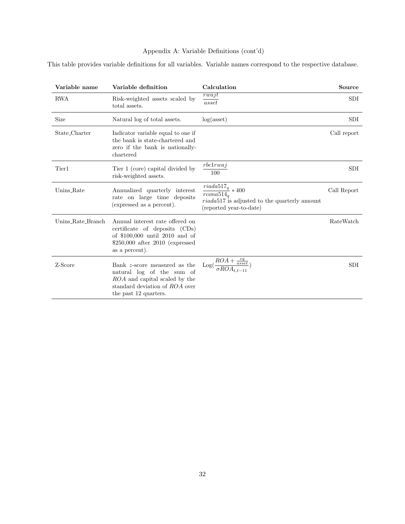# Appendix A: Variable Definitions (cont'd)

This table provides variable definitions for all variables. Variable names correspond to the respective database.

| Variable name     | Variable definition                                                                                                                                         | Calculation                                                                                                                            | Source      |
|-------------------|-------------------------------------------------------------------------------------------------------------------------------------------------------------|----------------------------------------------------------------------------------------------------------------------------------------|-------------|
| <b>RWA</b>        | Risk-weighted assets scaled by<br>total assets.                                                                                                             | rwajt<br>asset                                                                                                                         | SDI         |
| Size              | Natural log of total assets.                                                                                                                                | log(asset)                                                                                                                             | <b>SDI</b>  |
| State_Charter     | Indicator variable equal to one if<br>the bank is state-chartered and<br>zero if the bank is nationally-<br>chartered                                       |                                                                                                                                        | Call report |
| Tier1             | Tier 1 (core) capital divided by<br>risk-weighted assets.                                                                                                   | rbclrwa<br>100                                                                                                                         | SDI         |
| Unins_Rate        | Annualized quarterly interest<br>rate on large time deposits<br>(expressed as a percent).                                                                   | $\overline{riada517}_q$ * 400<br>$r_{\text{cona}514_{q}}$<br>$riada517$ is adjusted to the quarterly amount<br>(reported year-to-date) | Call Report |
| Unins_Rate_Branch | Annual interest rate offered on<br>certificate of deposits (CDs)<br>of $$100,000$ until 2010 and of<br>$$250,000$ after $2010$ (expressed<br>as a percent). |                                                                                                                                        | RateWatch   |
| Z-Score           | Bank z-score measured as the<br>natural log of the sum of<br>ROA and capital scaled by the<br>standard deviation of ROA over<br>the past 12 quarters.       | $ROA +$<br>$\overline{asset}$<br>Log(<br>$\sigma RCA_{t.t-11}$                                                                         | <b>SDI</b>  |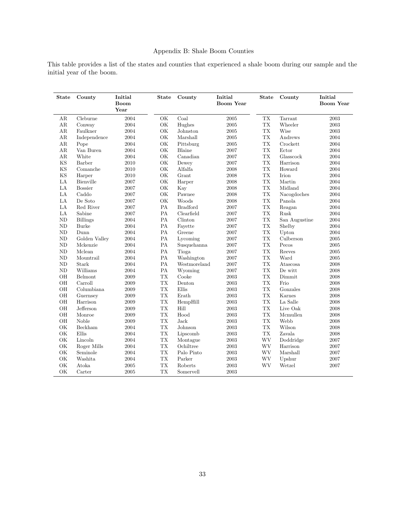# Appendix B: Shale Boom Counties

This table provides a list of the states and counties that experienced a shale boom during our sample and the initial year of the boom.

| State         | County          | Initial<br><b>Boom</b><br>Year | <b>State</b> | County          | Initial<br><b>Boom Year</b> | <b>State</b>                                 | County        | Initial<br><b>Boom Year</b> |
|---------------|-----------------|--------------------------------|--------------|-----------------|-----------------------------|----------------------------------------------|---------------|-----------------------------|
| AR            | Cleburne        | 2004                           | OK           | Coal            | 2005                        | ${\rm TX}$                                   | Tarrant       | 2003                        |
| AR            | Conway          | 2004                           | OK           | Hughes          | 2005                        | TX                                           | Wheeler       | 2003                        |
| AR            | Faulkner        | 2004                           | OK           | Johnston        | 2005                        | ${\rm TX}$                                   | Wise          | 2003                        |
| AR            | Independence    | 2004                           | OK           | Marshall        | 2005                        | ${\rm TX}$                                   | Andrews       | 2004                        |
| AR            | Pope            | 2004                           | OK           | Pittsburg       | 2005                        | ${\rm TX}$                                   | Crockett      | 2004                        |
| AR            | Van Buren       | 2004                           | OK           | Blaine          | 2007                        | ${\rm TX}$                                   | Ector         | 2004                        |
| AR            | White           | 2004                           | OK           | Canadian        | 2007                        | ${\rm TX}$                                   | Glasscock     | 2004                        |
| KS            | Barber          | 2010                           | OK           | Dewey           | 2007                        | ${\rm TX}$                                   | Harrison      | 2004                        |
| <b>KS</b>     | Comanche        | 2010                           | OK           | Alfalfa         | 2008                        | <b>TX</b>                                    | Howard        | 2004                        |
| <b>KS</b>     | Harper          | 2010                           | OK           | Grant           | 2008                        | ${\rm TX}$                                   | Irion         | 2004                        |
| $\rm{LA}$     | Bienville       | 2007                           | OK           | Harper          | 2008                        | ${\rm TX}$                                   | Martin        | 2004                        |
| LA            | <b>Bossier</b>  | 2007                           | OK           | Kay             | 2008                        | ${\rm TX}$                                   | Midland       | 2004                        |
| LA            | Caddo           | 2007                           | OK           | Pawnee          | 2008                        | ${\rm TX}$                                   | Nacogdoches   | 2004                        |
| LA            | De Soto         | 2007                           | OK           | Woods           | 2008                        | ${\rm TX}$                                   | Panola        | 2004                        |
| LA            | Red River       | 2007                           | PA           | <b>Bradford</b> | 2007                        | ${\rm TX}$                                   | Reagan        | 2004                        |
| LA            | Sabine          | 2007                           | PA           | Clearfield      | 2007                        | ${\rm TX}$                                   | Rusk          | 2004                        |
| ND            | <b>Billings</b> | 2004                           | PA           | Clinton         | 2007                        | ${\rm TX}$                                   | San Augustine | 2004                        |
| ND            | Burke           | 2004                           | PA           | Fayette         | 2007                        | ${\rm TX}$                                   | Shelby        | 2004                        |
| ND            | Dunn            | 2004                           | PA           | Greene          | 2007                        | ${\rm TX}$                                   | Upton         | 2004                        |
| ND            | Golden Valley   | 2004                           | PA           | Lycoming        | 2007                        | ${\rm TX}$                                   | Culberson     | $2005\,$                    |
| $\rm ND$      | Mckenzie        | 2004                           | ${\rm PA}$   | Susquehanna     | 2007                        | ${\rm TX}$                                   | Pecos         | 2005                        |
| ND            | Mclean          | 2004                           | PA           | Tioga           | 2007                        | ${\rm TX}$                                   | Reeves        | 2005                        |
| ND            | Mountrail       | 2004                           | PA           | Washington      | 2007                        | ${\rm TX}$                                   | Ward          | $2005\,$                    |
| $\rm ND$      | Stark           | 2004                           | ${\rm PA}$   | Westmoreland    | 2007                        | ${\rm TX}$                                   | Atascosa      | 2008                        |
| ND            | Williams        | 2004                           | PA           | Wyoming         | 2007                        | ${\rm TX}$                                   | De witt       | 2008                        |
| OH            | Belmont         | 2009                           | <b>TX</b>    | Cooke           | 2003                        | ${\rm TX}$                                   | Dimmit        | 2008                        |
| OH            | Carroll         | 2009                           | <b>TX</b>    | Denton          | 2003                        | ${\rm TX}$                                   | Frio          | 2008                        |
| OH            | Columbiana      | 2009                           | <b>TX</b>    | Ellis           | 2003                        | ${\rm TX}$                                   | Gonzales      | 2008                        |
| OH            | Guernsey        | 2009                           | <b>TX</b>    | Erath           | 2003                        | ${\rm TX}$                                   | Karnes        | 2008                        |
| OH            | Harrison        | 2009                           | <b>TX</b>    | HempHill        | 2003                        | ${\rm TX}$                                   | La Salle      | 2008                        |
| OH            | Jefferson       | 2009                           | <b>TX</b>    | Hill            | 2003                        | ${\rm TX}$                                   | Live Oak      | 2008                        |
| OH            | Monroe          | 2009                           | <b>TX</b>    | Hood            | 2003                        | TX                                           | Mcmullen      | 2008                        |
| OH            | Noble           | 2009                           | <b>TX</b>    | <b>Jack</b>     | 2003                        | ${\rm TX}$                                   | Webb          | 2008                        |
| OK            | Beckham         | 2004                           | <b>TX</b>    | Johnson         | 2003                        | ${\rm TX}$                                   | Wilson        | 2008                        |
| OK            | Ellis           | 2004                           | <b>TX</b>    | Lipscomb        | 2003                        | <b>TX</b>                                    | Zavala        | 2008                        |
| OK            | Lincoln         | 2004                           | <b>TX</b>    | Montague        | 2003                        | <b>WV</b>                                    | Doddridge     | 2007                        |
| $\mathrm{OK}$ | Roger Mills     | 2004                           | ${\rm TX}$   | Ochiltree       | $\,2003\,$                  | $\ensuremath{\text{W}}\ensuremath{\text{V}}$ | Harrison      | 2007                        |
| OK            | Seminole        | 2004                           | <b>TX</b>    | Palo Pinto      | 2003                        | <b>WV</b>                                    | Marshall      | 2007                        |
| $\mathrm{OK}$ | Washita         | 2004                           | ${\rm TX}$   | Parker          | 2003                        | <b>WV</b>                                    | Upshur        | 2007                        |
| OK            | Atoka           | 2005                           | <b>TX</b>    | Roberts         | 2003                        | WV                                           | Wetzel        | 2007                        |
| OK            | Carter          | 2005                           | <b>TX</b>    | Somervell       | 2003                        |                                              |               |                             |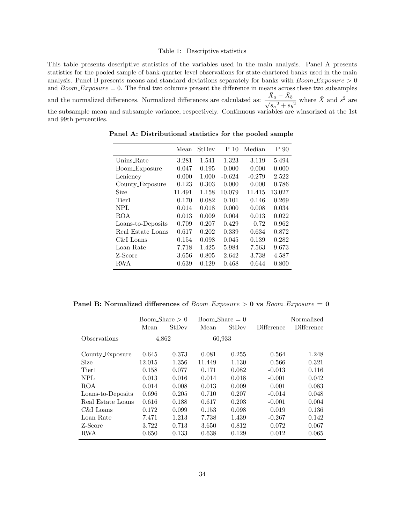#### Table 1: Descriptive statistics

<span id="page-35-0"></span>This table presents descriptive statistics of the variables used in the main analysis. Panel A presents statistics for the pooled sample of bank-quarter level observations for state-chartered banks used in the main analysis. Panel B presents means and standard deviations separately for banks with  $Boom$  Exposure  $> 0$ and  $Boom\_Exposure = 0$ . The final two columns present the difference in means across these two subsamples and the normalized differences. Normalized differences are calculated as:  $\frac{\bar{X}_a - \bar{X}_b}{\sqrt{2}}$  $\frac{\Lambda_a - \Lambda_b}{s_a^2 + s_b^2}$  where  $\bar{X}$  and  $s^2$  are the subsample mean and subsample variance, respectively. Continuous variables are winsorized at the 1st and 99th percentiles.

|                   | Mean   | StDev | P 10     | Median   | P 90   |
|-------------------|--------|-------|----------|----------|--------|
| Unins_Rate        | 3.281  | 1.541 | 1.323    | 3.119    | 5.494  |
| Boom_Exposure     | 0.047  | 0.195 | 0.000    | 0.000    | 0.000  |
| Leniency          | 0.000  | 1.000 | $-0.624$ | $-0.279$ | 2.522  |
| County_Exposure   | 0.123  | 0.303 | 0.000    | 0.000    | 0.786  |
| Size              | 11.491 | 1.158 | 10.079   | 11.415   | 13.027 |
| Tier1             | 0.170  | 0.082 | 0.101    | 0.146    | 0.269  |
| NPL               | 0.014  | 0.018 | 0.000    | 0.008    | 0.034  |
| <b>ROA</b>        | 0.013  | 0.009 | 0.004    | 0.013    | 0.022  |
| Loans-to-Deposits | 0.709  | 0.207 | 0.429    | 0.72     | 0.962  |
| Real Estate Loans | 0.617  | 0.202 | 0.339    | 0.634    | 0.872  |
| C&I Loans         | 0.154  | 0.098 | 0.045    | 0.139    | 0.282  |
| Loan Rate         | 7.718  | 1.425 | 5.984    | 7.563    | 9.673  |
| Z-Score           | 3.656  | 0.805 | 2.642    | 3.738    | 4.587  |
| RWA               | 0.639  | 0.129 | 0.468    | 0.644    | 0.800  |

Panel A: Distributional statistics for the pooled sample

Panel B: Normalized differences of  $Boom\_Exposure > 0$  vs  $Boom\_Exposure = 0$ 

|                   | Boom_Share $>0$ |       |        | Boom Share $= 0$ |            | Normalized |
|-------------------|-----------------|-------|--------|------------------|------------|------------|
|                   | Mean            | StDev | Mean   | StDev            | Difference | Difference |
| Observations      | 4,862           |       | 60,933 |                  |            |            |
| County_Exposure   | 0.645           | 0.373 | 0.081  | 0.255            | 0.564      | 1.248      |
| <b>Size</b>       | 12.015          | 1.356 | 11.449 | 1.130            | 0.566      | 0.321      |
| Tier <sub>1</sub> | 0.158           | 0.077 | 0.171  | 0.082            | $-0.013$   | 0.116      |
| NPL               | 0.013           | 0.016 | 0.014  | 0.018            | $-0.001$   | 0.042      |
| <b>ROA</b>        | 0.014           | 0.008 | 0.013  | 0.009            | 0.001      | 0.083      |
| Loans-to-Deposits | 0.696           | 0.205 | 0.710  | 0.207            | $-0.014$   | 0.048      |
| Real Estate Loans | 0.616           | 0.188 | 0.617  | 0.203            | $-0.001$   | 0.004      |
| C&I Loans         | 0.172           | 0.099 | 0.153  | 0.098            | 0.019      | 0.136      |
| Loan Rate         | 7.471           | 1.213 | 7.738  | 1.439            | $-0.267$   | 0.142      |
| Z-Score           | 3.722           | 0.713 | 3.650  | 0.812            | 0.072      | 0.067      |
| RWA               | 0.650           | 0.133 | 0.638  | 0.129            | 0.012      | 0.065      |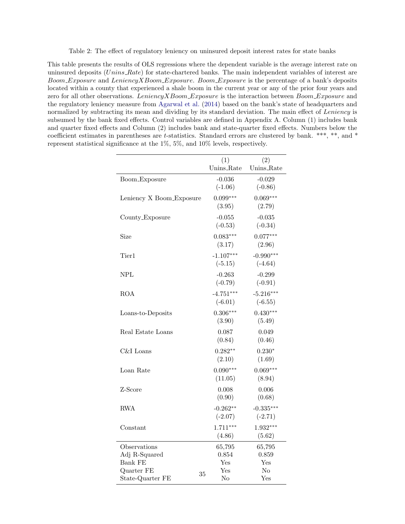Table 2: The effect of regulatory leniency on uninsured deposit interest rates for state banks

<span id="page-36-0"></span>This table presents the results of OLS regressions where the dependent variable is the average interest rate on uninsured deposits (Unins Rate) for state-chartered banks. The main independent variables of interest are Boom Exposure and Leniency X Boom Exposure. Boom Exposure is the percentage of a bank's deposits located within a county that experienced a shale boom in the current year or any of the prior four years and zero for all other observations. Leniency X Boom Exposure is the interaction between Boom Exposure and the regulatory leniency measure from [Agarwal et al.](#page-30-2) [\(2014\)](#page-30-2) based on the bank's state of headquarters and normalized by subtracting its mean and dividing by its standard deviation. The main effect of Leniency is subsumed by the bank fixed effects. Control variables are defined in Appendix A. Column (1) includes bank and quarter fixed effects and Column (2) includes bank and state-quarter fixed effects. Numbers below the coefficient estimates in parentheses are t-statistics. Standard errors are clustered by bank. \*\*\*, \*\*, and \* represent statistical significance at the 1%, 5%, and 10% levels, respectively.

|                          | (1)                        | (2)         |
|--------------------------|----------------------------|-------------|
|                          | Unins_Rate                 | Unins_Rate  |
| Boom_Exposure            | $-0.036$                   | $-0.029$    |
|                          | $(-1.06)$                  | $(-0.86)$   |
| Leniency X Boom_Exposure | $0.099***$                 | $0.069***$  |
|                          | (3.95)                     | (2.79)      |
| County_Exposure          | $-0.055$                   | $-0.035$    |
|                          | $(-0.53)$                  | $(-0.34)$   |
| Size                     | $0.083***$                 | $0.077***$  |
|                          | (3.17)                     | (2.96)      |
| Tier1                    | $-1.107***$                | $-0.990***$ |
|                          | $(-5.15)$                  | $(-4.64)$   |
| NPL                      | $-0.263$                   | $-0.299$    |
|                          | $(-0.79)$                  | $(-0.91)$   |
| <b>ROA</b>               | $-4.751***$                | $-5.216***$ |
|                          | $(-6.01)$                  | $(-6.55)$   |
| Loans-to-Deposits        | $0.306***$                 | $0.430***$  |
|                          | (3.90)                     | (5.49)      |
| Real Estate Loans        | 0.087                      | 0.049       |
|                          | (0.84)                     | (0.46)      |
| C&I Loans                | $0.282**$                  | $0.230*$    |
|                          | (2.10)                     | (1.69)      |
| Loan Rate                | $0.090***$                 | $0.069***$  |
|                          | (11.05)                    | (8.94)      |
| Z-Score                  | 0.008                      | 0.006       |
|                          | (0.90)                     | (0.68)      |
| RWA                      | $-0.262**$                 | $-0.335***$ |
|                          | $(-2.07)$                  | $(-2.71)$   |
| Constant                 | $1.711***$                 | $1.932***$  |
|                          | (4.86)                     | (5.62)      |
| Observations             | 65,795                     | 65,795      |
| Adj R-Squared            | 0.854                      | 0.859       |
| <b>Bank FE</b>           | Yes                        | Yes         |
| Quarter FE<br>35         | $\operatorname{Yes}$<br>No | No<br>Yes   |
| State-Quarter FE         |                            |             |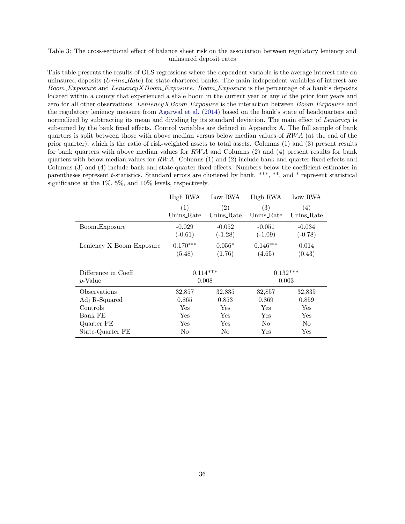#### <span id="page-37-0"></span>Table 3: The cross-sectional effect of balance sheet risk on the association between regulatory leniency and uninsured deposit rates

This table presents the results of OLS regressions where the dependent variable is the average interest rate on uninsured deposits (Unins Rate) for state-chartered banks. The main independent variables of interest are Boom Exposure and Leniency X Boom Exposure. Boom Exposure is the percentage of a bank's deposits located within a county that experienced a shale boom in the current year or any of the prior four years and zero for all other observations. Leniency X Boom Exposure is the interaction between Boom Exposure and the regulatory leniency measure from [Agarwal et al.](#page-30-2) [\(2014\)](#page-30-2) based on the bank's state of headquarters and normalized by subtracting its mean and dividing by its standard deviation. The main effect of Leniency is subsumed by the bank fixed effects. Control variables are defined in Appendix A. The full sample of bank quarters is split between those with above median versus below median values of  $RWA$  (at the end of the prior quarter), which is the ratio of risk-weighted assets to total assets. Columns (1) and (3) present results for bank quarters with above median values for  $RWA$  and Columns (2) and (4) present results for bank quarters with below median values for  $RWA$ . Columns (1) and (2) include bank and quarter fixed effects and Columns (3) and (4) include bank and state-quarter fixed effects. Numbers below the coefficient estimates in parentheses represent t-statistics. Standard errors are clustered by bank. \*\*\*, \*\*, and \* represent statistical significance at the 1%, 5%, and 10% levels, respectively.

|                          | High RWA             | Low RWA    | High RWA       | Low RWA    |
|--------------------------|----------------------|------------|----------------|------------|
|                          | (1)                  | (2)        | (3)            | (4)        |
|                          | Unins_Rate           | Unins_Rate | Unins_Rate     | Unins_Rate |
| Boom_Exposure            | $-0.029$             | $-0.052$   | $-0.051$       | $-0.034$   |
|                          | $(-0.61)$            | $(-1.28)$  | $(-1.09)$      | $(-0.78)$  |
| Leniency X Boom_Exposure | $0.170***$           | $0.056*$   | $0.146***$     | 0.014      |
|                          | (5.48)               | (1.76)     | (4.65)         | (0.43)     |
|                          |                      |            |                |            |
| Difference in Coeff      | $0.114***$           |            | $0.132***$     |            |
| p-Value                  |                      | 0.008      | 0.003          |            |
| Observations             | 32,857               | 32,835     | 32,857         | 32,835     |
| Adj R-Squared            | 0.865                | 0.853      | 0.869          | 0.859      |
| Controls                 | Yes                  | Yes        | Yes            | Yes        |
| Bank FE                  | Yes                  | Yes        | Yes            | Yes        |
| Quarter FE               | $\operatorname{Yes}$ | Yes        | N <sub>o</sub> | No         |
| State-Quarter FE         |                      |            |                |            |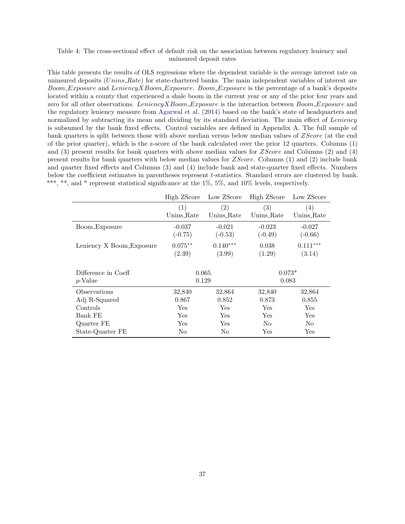#### <span id="page-38-0"></span>Table 4: The cross-sectional effect of default risk on the association between regulatory leniency and uninsured deposit rates

This table presents the results of OLS regressions where the dependent variable is the average interest rate on uninsured deposits  $(Unins_Rate)$  for state-chartered banks. The main independent variables of interest are Boom Exposure and Leniency X Boom Exposure. Boom Exposure is the percentage of a bank's deposits located within a county that experienced a shale boom in the current year or any of the prior four years and zero for all other observations. Leniency X Boom Exposure is the interaction between Boom Exposure and the regulatory leniency measure from [Agarwal et al.](#page-30-2) [\(2014\)](#page-30-2) based on the bank's state of headquarters and normalized by subtracting its mean and dividing by its standard deviation. The main effect of Leniency is subsumed by the bank fixed effects. Control variables are defined in Appendix A. The full sample of bank quarters is split between those with above median versus below median values of ZScore (at the end of the prior quarter), which is the z-score of the bank calculated over the prior 12 quarters. Columns (1) and  $(3)$  present results for bank quarters with above median values for  $ZScore$  and  $(2)$  and  $(4)$ present results for bank quarters with below median values for ZScore. Columns (1) and (2) include bank and quarter fixed effects and Columns (3) and (4) include bank and state-quarter fixed effects. Numbers below the coefficient estimates in parentheses represent t-statistics. Standard errors are clustered by bank. \*\*\*, \*\*, and \* represent statistical significance at the 1%, 5%, and 10% levels, respectively.

|                          | High ZScore          | Low ZScore | High ZScore          | Low ZScore           |
|--------------------------|----------------------|------------|----------------------|----------------------|
|                          | (1)                  | (2)        | (3)                  | $\left(4\right)$     |
|                          | Unins_Rate           | Unins_Rate | Unins_Rate           | Unins_Rate           |
| Boom_Exposure            | $-0.037$             | $-0.021$   | $-0.023$             | $-0.027$             |
|                          | $(-0.75)$            | $(-0.53)$  | $(-0.49)$            | $(-0.66)$            |
| Leniency X Boom_Exposure | $0.075**$            | $0.140***$ | 0.038                | $0.111***$           |
|                          | (2.39)               | (3.99)     | (1.29)               | (3.14)               |
|                          |                      |            |                      |                      |
| Difference in Coeff      | 0.065                |            | $0.073*$             |                      |
| <i>p</i> -Value          |                      | 0.129      |                      | 0.083                |
| Observations             | 32,840               | 32,864     | 32,840               | 32,864               |
| Adj R-Squared            | 0.867                | 0.852      | 0.873                | 0.855                |
| Controls                 | $\operatorname{Yes}$ | Yes        | Yes                  | Yes                  |
| Bank FE                  | $\operatorname{Yes}$ | Yes        | Yes                  | $\operatorname{Yes}$ |
| Quarter FE               | $\operatorname{Yes}$ | Yes        | No                   | No                   |
| State-Quarter FE         | No                   | No         | $\operatorname{Yes}$ | Yes                  |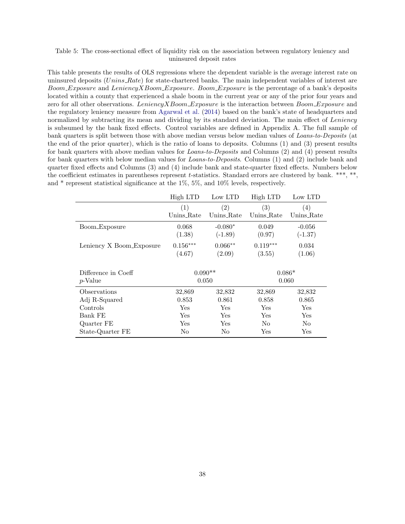#### <span id="page-39-0"></span>Table 5: The cross-sectional effect of liquidity risk on the association between regulatory leniency and uninsured deposit rates

This table presents the results of OLS regressions where the dependent variable is the average interest rate on uninsured deposits  $(Unins_Rate)$  for state-chartered banks. The main independent variables of interest are Boom Exposure and Leniency X Boom Exposure. Boom Exposure is the percentage of a bank's deposits located within a county that experienced a shale boom in the current year or any of the prior four years and zero for all other observations. Leniency X Boom Exposure is the interaction between Boom Exposure and the regulatory leniency measure from [Agarwal et al.](#page-30-2) [\(2014\)](#page-30-2) based on the bank's state of headquarters and normalized by subtracting its mean and dividing by its standard deviation. The main effect of Leniency is subsumed by the bank fixed effects. Control variables are defined in Appendix A. The full sample of bank quarters is split between those with above median versus below median values of Loans-to-Deposits (at the end of the prior quarter), which is the ratio of loans to deposits. Columns (1) and (3) present results for bank quarters with above median values for Loans-to-Deposits and Columns (2) and (4) present results for bank quarters with below median values for Loans-to-Deposits. Columns (1) and (2) include bank and quarter fixed effects and Columns (3) and (4) include bank and state-quarter fixed effects. Numbers below the coefficient estimates in parentheses represent t-statistics. Standard errors are clustered by bank. \*\*\*, \*\*, and \* represent statistical significance at the 1%, 5%, and 10% levels, respectively.

|                          | High LTD               | Low LTD    | High LTD             | Low LTD              |
|--------------------------|------------------------|------------|----------------------|----------------------|
|                          | (1)                    | (2)        | (3)                  | (4)                  |
|                          | Unins_Rate             | Unins Rate | Unins_Rate           | Unins_Rate           |
| Boom_Exposure            | 0.068                  | $-0.080*$  | 0.049                | $-0.056$             |
|                          | (1.38)                 | $(-1.89)$  | (0.97)               | $(-1.37)$            |
| Leniency X Boom_Exposure | $0.156^{\ast\ast\ast}$ | $0.066**$  | $0.119***$           | 0.034                |
|                          | (4.67)                 | (2.09)     | (3.55)               | (1.06)               |
|                          |                        |            |                      |                      |
| Difference in Coeff      | $0.090**$              |            | $0.086*$             |                      |
| p-Value                  | 0.050                  |            | 0.060                |                      |
| Observations             | 32,869                 | 32,832     | 32,869               | 32,832               |
| Adj R-Squared            | 0.853                  | 0.861      | 0.858                | 0.865                |
| Controls                 | Yes                    | Yes        | Yes                  | Yes                  |
| Bank FE                  | $\operatorname{Yes}$   | Yes        | Yes                  | Yes                  |
| Quarter FE               | $\operatorname{Yes}$   | Yes        | N <sub>o</sub>       | No                   |
| State-Quarter FE         | No                     | No         | $\operatorname{Yes}$ | $\operatorname{Yes}$ |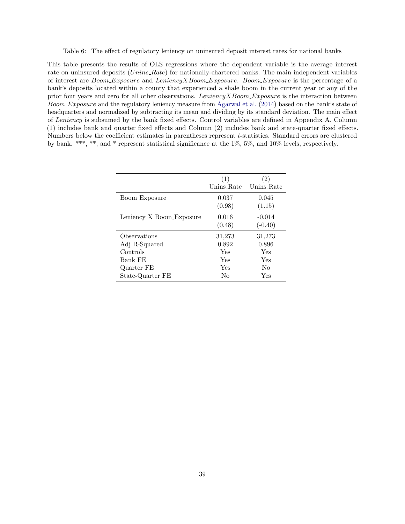<span id="page-40-0"></span>Table 6: The effect of regulatory leniency on uninsured deposit interest rates for national banks

This table presents the results of OLS regressions where the dependent variable is the average interest rate on uninsured deposits (Unins Rate) for nationally-chartered banks. The main independent variables of interest are Boom Exposure and LeniencyXBoom Exposure. Boom Exposure is the percentage of a bank's deposits located within a county that experienced a shale boom in the current year or any of the prior four years and zero for all other observations. LeniencyXBoom Exposure is the interaction between Boom Exposure and the regulatory leniency measure from [Agarwal et al.](#page-30-2) [\(2014\)](#page-30-2) based on the bank's state of headquarters and normalized by subtracting its mean and dividing by its standard deviation. The main effect of Leniency is subsumed by the bank fixed effects. Control variables are defined in Appendix A. Column (1) includes bank and quarter fixed effects and Column (2) includes bank and state-quarter fixed effects. Numbers below the coefficient estimates in parentheses represent t-statistics. Standard errors are clustered by bank. \*\*\*, \*\*, and \* represent statistical significance at the 1%, 5%, and 10% levels, respectively.

|                          | (1)<br>Unins Rate | (2)<br>Unins Rate     |
|--------------------------|-------------------|-----------------------|
| Boom_Exposure            | 0.037<br>(0.98)   | 0.045<br>(1.15)       |
| Leniency X Boom_Exposure | 0.016<br>(0.48)   | $-0.014$<br>$(-0.40)$ |
| Observations             | 31,273            | 31,273                |
| Adj R-Squared            | 0.892             | 0.896                 |
| Controls                 | Yes               | Yes                   |
| Bank FE                  | Yes               | Yes                   |
| Quarter FE               | Yes               | No                    |
| State-Quarter FE         | No                | Yes                   |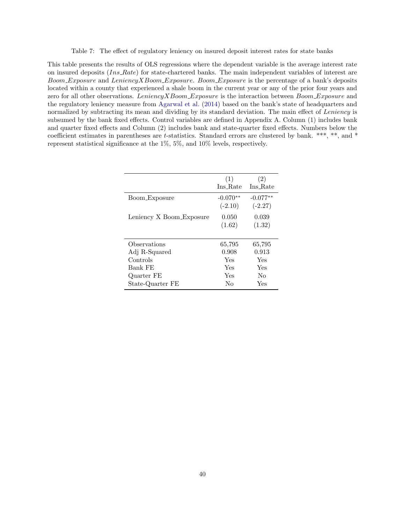Table 7: The effect of regulatory leniency on insured deposit interest rates for state banks

<span id="page-41-0"></span>This table presents the results of OLS regressions where the dependent variable is the average interest rate on insured deposits  $(Ins_Rate)$  for state-chartered banks. The main independent variables of interest are Boom Exposure and LeniencyXBoom Exposure. Boom Exposure is the percentage of a bank's deposits located within a county that experienced a shale boom in the current year or any of the prior four years and zero for all other observations. LeniencyXBoom Exposure is the interaction between Boom Exposure and the regulatory leniency measure from [Agarwal et al.](#page-30-2) [\(2014\)](#page-30-2) based on the bank's state of headquarters and normalized by subtracting its mean and dividing by its standard deviation. The main effect of Leniency is subsumed by the bank fixed effects. Control variables are defined in Appendix A. Column (1) includes bank and quarter fixed effects and Column (2) includes bank and state-quarter fixed effects. Numbers below the coefficient estimates in parentheses are t-statistics. Standard errors are clustered by bank. \*\*\*, \*\*, and \* represent statistical significance at the 1%, 5%, and 10% levels, respectively.

|                          | (1)<br>Ins Rate         | (2)<br>Ins Rate         |
|--------------------------|-------------------------|-------------------------|
| Boom_Exposure            | $-0.070**$<br>$(-2.10)$ | $-0.077**$<br>$(-2.27)$ |
| Leniency X Boom_Exposure | 0.050<br>(1.62)         | 0.039<br>(1.32)         |
| Observations             | 65,795                  | 65,795                  |
| Adj R-Squared            | 0.908                   | 0.913                   |
| Controls                 | Yes                     | Yes                     |
| Bank FE                  | Yes                     | Yes                     |
| Quarter FE               | Yes                     | No                      |
| State-Quarter FE         | Nο                      | Yes                     |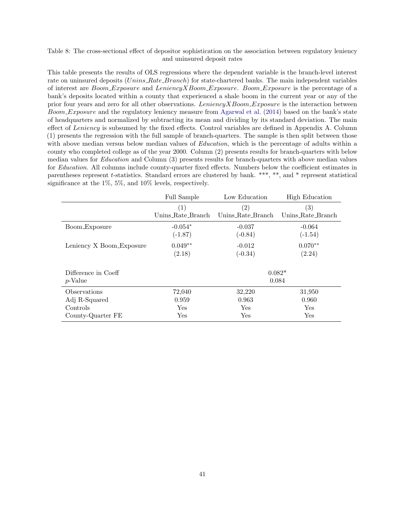#### <span id="page-42-0"></span>Table 8: The cross-sectional effect of depositor sophistication on the association between regulatory leniency and uninsured deposit rates

This table presents the results of OLS regressions where the dependent variable is the branch-level interest rate on uninsured deposits (Unins Rate Branch) for state-chartered banks. The main independent variables of interest are Boom Exposure and LeniencyXBoom Exposure. Boom Exposure is the percentage of a bank's deposits located within a county that experienced a shale boom in the current year or any of the prior four years and zero for all other observations. Leniency X Boom Exposure is the interaction between Boom Exposure and the regulatory leniency measure from [Agarwal et al.](#page-30-2) [\(2014\)](#page-30-2) based on the bank's state of headquarters and normalized by subtracting its mean and dividing by its standard deviation. The main effect of Leniency is subsumed by the fixed effects. Control variables are defined in Appendix A. Column (1) presents the regression with the full sample of branch-quarters. The sample is then split between those with above median versus below median values of *Education*, which is the percentage of adults within a county who completed college as of the year 2000. Column (2) presents results for branch-quarters with below median values for Education and Column (3) presents results for branch-quarters with above median values for *Education*. All columns include county-quarter fixed effects. Numbers below the coefficient estimates in parentheses represent t-statistics. Standard errors are clustered by bank. \*\*\*, \*\*, and \* represent statistical significance at the 1%, 5%, and 10% levels, respectively.

|                                | Full Sample       | Low Education     | High Education    |
|--------------------------------|-------------------|-------------------|-------------------|
|                                | (1)               | (2)               | $\left( 3\right)$ |
|                                | Unins_Rate_Branch | Unins_Rate_Branch | Unins_Rate_Branch |
| Boom_Exposure                  | $-0.054*$         | $-0.037$          | $-0.064$          |
|                                | $(-1.87)$         | $(-0.84)$         | $(-1.54)$         |
| Leniency X Boom_Exposure       | $0.049**$         | $-0.012$          | $0.070**$         |
|                                | (2.18)            | $(-0.34)$         | (2.24)            |
| Difference in Coeff<br>p-Value |                   |                   | $0.082*$<br>0.084 |
| Observations                   | 72,040            | 32,220            | 31,950            |
| Adj R-Squared                  | 0.959             | 0.963             | 0.960             |
| Controls                       | Yes               | Yes               | Yes               |
| County-Quarter FE              | Yes               | Yes               | Yes               |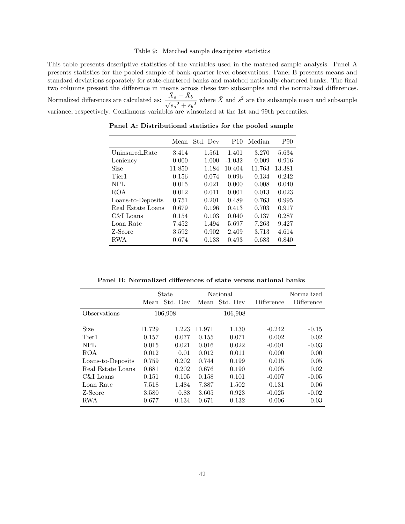#### Table 9: Matched sample descriptive statistics

<span id="page-43-0"></span>This table presents descriptive statistics of the variables used in the matched sample analysis. Panel A presents statistics for the pooled sample of bank-quarter level observations. Panel B presents means and standard deviations separately for state-chartered banks and matched nationally-chartered banks. The final two columns present the difference in means across these two subsamples and the normalized differences. Normalized differences are calculated as:  $\frac{\bar{X}_a - \bar{X}_b}{\sqrt{2\pi}}$  $\frac{\Lambda_a - \Lambda_b}{s_a^2 + s_b^2}$  where  $\bar{X}$  and  $s^2$  are the subsample mean and subsample variance, respectively. Continuous variables are winsorized at the 1st and 99th percentiles.

|                   | Mean   | Std. Dev | P <sub>10</sub> | Median | P90    |
|-------------------|--------|----------|-----------------|--------|--------|
| Uninsured Rate    | 3.414  | 1.561    | 1.401           | 3.270  | 5.634  |
| Leniency          | 0.000  | 1.000    | $-1.032$        | 0.009  | 0.916  |
| Size              | 11.850 | 1.184    | 10.404          | 11.763 | 13.381 |
| Tier <sub>1</sub> | 0.156  | 0.074    | 0.096           | 0.134  | 0.242  |
| NPL               | 0.015  | 0.021    | 0.000           | 0.008  | 0.040  |
| <b>ROA</b>        | 0.012  | 0.011    | 0.001           | 0.013  | 0.023  |
| Loans-to-Deposits | 0.751  | 0.201    | 0.489           | 0.763  | 0.995  |
| Real Estate Loans | 0.679  | 0.196    | 0.413           | 0.703  | 0.917  |
| C&I Loans         | 0.154  | 0.103    | 0.040           | 0.137  | 0.287  |
| Loan Rate         | 7.452  | 1.494    | 5.697           | 7.263  | 9.427  |
| Z-Score           | 3.592  | 0.902    | 2.409           | 3.713  | 4.614  |
| RWA               | 0.674  | 0.133    | 0.493           | 0.683  | 0.840  |

Panel A: Distributional statistics for the pooled sample

Panel B: Normalized differences of state versus national banks

|                   | State  |          | National |          |            | Normalized |
|-------------------|--------|----------|----------|----------|------------|------------|
|                   | Mean   | Std. Dev | Mean     | Std. Dev | Difference | Difference |
| Observations      |        | 106,908  |          | 106,908  |            |            |
|                   |        |          |          |          |            |            |
| Size              | 11.729 | 1.223    | 11.971   | 1.130    | $-0.242$   | $-0.15$    |
| Tier <sub>1</sub> | 0.157  | 0.077    | 0.155    | 0.071    | 0.002      | 0.02       |
| NPL               | 0.015  | 0.021    | 0.016    | 0.022    | $-0.001$   | $-0.03$    |
| ROA               | 0.012  | 0.01     | 0.012    | 0.011    | 0.000      | 0.00       |
| Loans-to-Deposits | 0.759  | 0.202    | 0.744    | 0.199    | 0.015      | 0.05       |
| Real Estate Loans | 0.681  | 0.202    | 0.676    | 0.190    | 0.005      | 0.02       |
| C&I Loans         | 0.151  | 0.105    | 0.158    | 0.101    | $-0.007$   | $-0.05$    |
| Loan Rate         | 7.518  | 1.484    | 7.387    | 1.502    | 0.131      | 0.06       |
| Z-Score           | 3.580  | 0.88     | 3.605    | 0.923    | $-0.025$   | $-0.02$    |
| RWA               | 0.677  | 0.134    | 0.671    | 0.132    | 0.006      | 0.03       |